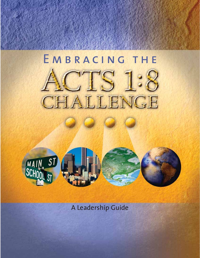## EMBRACING THE TS 1:8 CHALLENGE



A Leadership Guide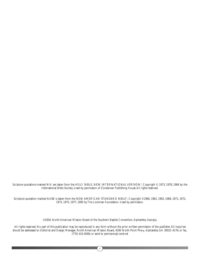Scripture quotations marked NIV are taken from the HOLY BIBLE, NEW INTERNATIONAL VERSION®, Copyright © 1973, 1978, 1984 by the International Bible Society. Used by permission of Zondervan Publishing House.All rights reserved.

Scripture quotation marked NASB is taken from the NEW AMERICAN STANDARD BIBLE®, Copyright ©1960, 1962, 1963, 1968, 1971, 1972, 1973, 1975, 1977, 1995 by The Lockman Foundation. Used by permission.

©2004, North American Mission Board of the Southern Baptist Convention,Alpharetta, Georgia.

All rights reserved. No part of this publication may be reproduced in any form without the prior written permission of the publisher.All inquiries should be addressed to: Editorial and Design Manager, North American Mission Board, 4200 North Point Pkwy.,Alpharetta, GA 30022-4176; or fax, (770) 410-6006; or send to *permissions@namb.net*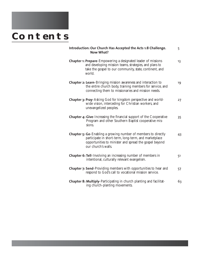# **CONTENTS**

| Introduction: Our Church Has Accepted the Acts 1:8 Challenge.<br>Now What?                                                                                                                                      | 5  |
|-----------------------------------------------------------------------------------------------------------------------------------------------------------------------------------------------------------------|----|
| <b>Chapter 1: Prepare-Empowering a designated leader of missions</b><br>and developing mission teams, strategies, and plans to<br>take the gospel to our community, state, continent, and<br>world.             | 13 |
| <b>Chapter 2: Learn-</b> Bringing mission awareness and interaction to<br>the entire church body, training members for service, and<br>connecting them to missionaries and mission needs.                       | 19 |
| <b>Chapter 3: Pray-Asking God for kingdom perspective and world-</b><br>wide vision, interceding for Christian workers, and<br>unevangelized peoples.                                                           | 27 |
| <b>Chapter 4: Give-Increasing the financial support of the Cooperative</b><br>Program and other Southern Baptist cooperative mis-<br>sions.                                                                     | 35 |
| <b>Chapter 5: Go-Enabling a growing number of members to directly</b><br>participate in short-term, long-term, and marketplace<br>opportunities to minister and spread the gospel beyond<br>our church's walls. | 43 |
| <b>Chapter 6: Tell-Involving an increasing number of members in</b><br>intentional, culturally relevant evangelism.                                                                                             | 51 |
| <b>Chapter 7: Send-Providing members with opportunities to hear and</b><br>respond to God's call to vocational mission service.                                                                                 | 57 |
| <b>Chapter 8: Multiply-Participating in church planting and facilitat-</b><br>ing church-planting movements.                                                                                                    | 63 |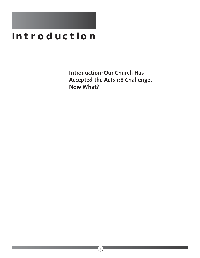## **Introduction**

**Introduction: Our Church Has Accepted the Acts 1:8 Challenge. Now What?**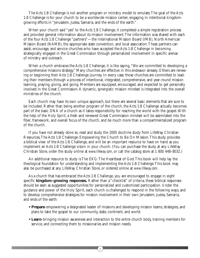The Acts 1:8 Challenge is not another program or ministry model to emulate.The goal of the Acts 1:8 Challenge is for your church to be a worldwide mission center, engaging in intentional kingdomgrowing efforts in "Jerusalem, Judea, Samaria, and the ends of the earth."

When your church said "yes" to the Acts 1:8 Challenge, it completed a simple registration process and provided general information about its mission involvement.The information was shared with each of the four Acts 1:8 Challenge "partners"—the International Mission Board (IMB), North American Mission Board (NAMB), the appropriate state convention, and local association.These partners can assist, encourage, and service churches who have accepted the Acts 1:8 Challenge in becoming strategically engaged in the Great Commission through personalized involvement in specific arenas of ministry and outreach.

When a church embraces the Acts 1:8 Challenge, it is like saying, "We are committed to developing a comprehensive missions strategy." Many churches are effective in this endeavor already. Others are renewing or beginning their Acts 1:8 Challenge journey. In every case, those churches are committed to leading their members through a process of intentional, integrated, comprehensive, and year-round mission learning, praying, giving, and going. Members are equipped, encouraged, and expected to get personally involved in the Great Commission.A dynamic, synergistic mission mindset is integrated into the overall ministries of the church.

Each church may have its own unique approach, but there are several basic elements that are sure to be included. Rather than being another program of the church, the Acts 1:8 Challenge actually becomes part of the basic DNA of a church as it takes responsibility for reaching the world with the gospel.With the help of the Holy Spirit, a fresh and renewed Great Commission mindset will be assimilated into the fiber, framework, and overall focus of the church, and be much more than a compartmentalized program of the church.

If you have not already done so, read and study the 2005 doctrine study from LifeWay Christian Resources,The Acts 1:8 Challenge: Empowering the Church to Be On Mission.This study provides a biblical view of the Acts 1:8 Challenge, and will be an important resource to have on hand as you implement an Acts 1:8 Challenge vision in your church. (You can purchase the study at any LifeWay Christian Store, order the study online at *www.lifeway.com*, or call the catalog store at 1 800 448-8032.)

An additional resource to study is The EKG:The Heartbeat of God.This book will help lay the theological foundation for understanding and implementing the Acts 1:8 Challenge.This book may also be purchased at any LifeWay Christian Store, or ordered online at *www.lifeway.com*.

As a church that has embraced the Acts 1:8 Challenge, you are encouraged to engage in eight specific **kingdom-growing responses.** Rather than a "checklist" of criteria, these biblical responses should be seen as suggested opportunities for personalized and customized participation. Under the guidance and power of the Holy Spirit, each church is challenged to respond in the following ways, and to develop comprehensive strategies for mission involvement in their own Jerusalem, Judea, Samaria, and ends of the earth:

- **Prepare**-empowering a designated leader of missions and developing mission teams, strategies, and plans to take the gospel to our community, state, continent, and world.
- **Learn**-bringing mission awareness and interaction to the entire church body, training members for service, and connecting them to missionaries and mission needs.

 $5<sup>2</sup>$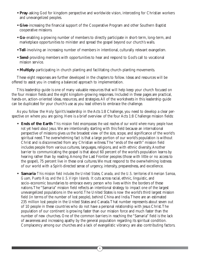- **Pray**-asking God for kingdom perspective and worldwide vision, interceding for Christian workers and unevangelized peoples.
- **Give**-increasing the financial support of the Cooperative Program and other Southern Baptist cooperative missions.
- **Go**-enabling a growing number of members to directly participate in short-term, long-term, and marketplace opportunities to minister and spread the gospel beyond our church's walls.
- **Tell**-involving an increasing number of members in intentional, culturally relevant evangelism.
- **Send**-providing members with opportunities to hear and respond to God's call to vocational mission service.
- **Multiply**-participating in church planting and facilitating church-planting movements.

These eight responses are further developed in the chapters to follow. Ideas and resources will be offered to assist you in creating a balanced approach to implementation.

This leadership guide is one of many valuable resources that will help keep your church focused on the four mission fields and the eight kingdom-growing responses. Included in these pages are practical, hands-on, action-oriented ideas, resources, and strategies.All of the worksheets in this leadership guide can be duplicated for your church's use as you lead others to embrace the challenge.

As you follow the Holy Spirit's leadership in the Acts 1:8 Challenge, you need to develop a clear perspective on where you are going. Here is a brief overview of the four Acts 1:8 Challenge mission fields:

- **Ends of the Earth**-*This mission field encompasses the vast reaches of our world where many people have not yet heard about Jesus.* We are intentionally starting with this field because an international perspective of missions gives us the broadest view of the size, scope, and significance of the world's spiritual need.The overwhelming fact is that a large portion of our world's population is without Christ and is disconnected from any Christian witness.The "ends of the earth" mission field includes people from various cultures, languages, religions, and with ethnic diversity.Another barrier to communicating the gospel is that about 60 percent of the world's population learns by hearing rather than by reading.Among the Last Frontier peoples (those with little or no access to the gospel), 75 percent live in these oral cultures.We must respond to the overwhelming lostness of our world with a Spirit-directed sense of urgency, intensity, preparedness, and excellence.
- **Samaria**-*This mission field includes the United States, Canada, and the U.S. territories of American Samoa, Guam, Puerto Rico, and the U.S.Virgin Islands.* It cuts across racial, ethnic, linguistic, and socio-economic boundaries to embrace every person who lives within the borders of these nations.The "Samaria" mission field reflects an intentional strategy to impact one of the largest unevangelized populations in the world.The United States is now the world's third largest mission field (in terms of the number of lost people), behind China and India.There are an estimated 235 million lost people in the United States and Canada.That number represents about seven out of 10 people in these countries who do not have a personal relationship with Jesus Christ.The population of our continent is growing faster than our mission force and much faster than the number of new churches. One of the common barriers in reaching the "Samaria" field is the lack of awareness and increasing apathy by the general population regarding its spiritual condition. Complacency among our churches and a lack of evangelistic vibrancy are also contributing factors.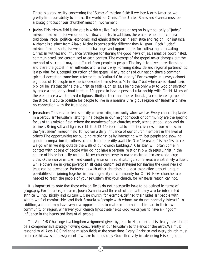There is a stark reality concerning the "Samaria" mission field: if we lose North America, we greatly limit our ability to impact the world for Christ.The United States and Canada must be a strategic focus of our churches' mission involvement.

- **Judea**-*This mission field is the state in which we live.* Each state or region is symbolically a "Judea" mission field with its own unique spiritual climate. In addition, there are tremendous cultural, traditional, racial, political, economic, and ethnic differences in each state and region. For instance, Alabama is distinct from Alaska. Maine is considerably different than Missouri. Each "Judea" mission field presents its own unique challenges and opportunities for cultivating a pervading Christian witness and influence. Strategies for sharing the good news of Jesus must be coordinated, communicated, and customized to each context.The message of the gospel never changes, but the method of sharing it may be different from people to people.The key is to develop relationships and share the gospel in an authentic and relevant way. Forming statewide and regional partnerships is also vital for successful saturation of the gospel. Many regions of our nation share a common spiritual deception sometimes referred to as "cultural Christianity." For example, in surveys, almost eight out of 10 people in America describe themselves as "Christian," but when asked about basic biblical beliefs that define the Christian faith (such as Jesus being the only way to God or salvation by grace alone), only about three in 10 appear to have a personal relationship with Christ. Many of these embrace a works-based religious affinity rather than the relational, grace-oriented gospel of the Bible. It is quite possible for people to live in a nominally religious region of "Judea" and have no connection with the true gospel.
- **Jerusalem**-*This mission field is the city or surrounding community where we live.* Every church is planted in a particular "Jerusalem" setting.The people in our neighborhoods or community are the specific focus of this mission field, where the members of our churches work, attend school, shop, and do business. Being salt and light (see Matt. 5:13-14) is critical to the effectiveness of our witness in the "Jerusalem" mission field. It involves a daily influence of our church members in the lives of others.The opportunities for building relationships by interacting with lost people and showing genuine compassion for others are much more readily available. Our "Jerusalem" is the first place we go when we step outside the walls of our church building.A Christian will often come in contact with dozens of people who do not have a personal relationship with Jesus Christ in the course of his or her daily routine. Many churches serve in major metropolitan areas and large cities. Others serve in town and country areas or in rural settings. Some areas are extremely affluent while others are in great poverty. In all cases, customized strategies for sharing the good news of Jesus can be developed. Partnerships with other churches in a local association present unique possibilities for joining together in reaching a city or community for Christ. New churches are needed to reach the people of your Jerusalem that your church, for whatever reason, can not.

It is important to note that these mission fields do not necessarily have to be defined in terms of geography. For instance, Jerusalem, Judea, Samaria, and the ends of the earth may also be interpreted ethnically, linguistically, and culturally. One church, for example, defined their Judea as "people with whom we feel comfortable" and their Samaria as "people with whom we do not normally interact." In addition, a church may have very real opportunities to make an international impact in their own community or region.Wherever your church finds these fields, God wants you to have a kingdom influence in the hearts and lives of all people.

The Acts 1:8 Challenge is a kingdom assignment given by Jesus to His church. It is clearly intended to be a comprehensive strategy flowing concurrently in our Jerusalem to the ends of the earth.We must respond to all Acts 1:8 Challenge mission fields at the same time. Every Christian and every church must embrace this awesome assignment if we are to be used by God effectively in advancing His kingdom.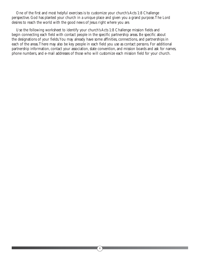One of the first and most helpful exercises is to customize your church's Acts 1:8 Challenge perspective. God has planted your church in a unique place and given you a grand purpose.The Lord desires to reach the world with the good news of Jesus right where you are.

Use the following worksheet to identify your church's Acts 1:8 Challenge mission fields and begin connecting each field with contact people in the specific partnership areas. Be specific about the designations of your fields.You may already have some affinities, connections, and partnerships in each of the areas.There may also be key people in each field you use as contact persons. For additional partnership information, contact your association, state convention, and mission boards and ask for names, phone numbers, and e-mail addresses of those who will customize each mission field for your church.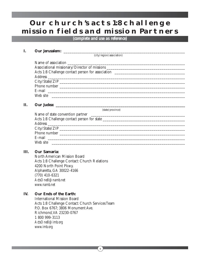## **OUR CHURCH'S ACTS 1:8 CHALLENGE mission fields and mission Partners**

#### *(complete and use as reference)*

#### **I.** Our Jerusalem:

(city/region/association)

| Associational missionary/Director of missions ___________________________________ |  |
|-----------------------------------------------------------------------------------|--|
|                                                                                   |  |
|                                                                                   |  |
|                                                                                   |  |
|                                                                                   |  |
|                                                                                   |  |
| Web site                                                                          |  |

#### **II.** Our Judea:

(state/province)

| Name of state convention partner |
|----------------------------------|
|                                  |
|                                  |
|                                  |
| Phone number                     |
| E-mail                           |
| Web site                         |

#### **III. Our Samaria:**

North American Mission Board Acts 1:8 Challenge Contact: Church Relations 4200 North Point Pkwy. Alpharetta, GA 30022-4166 (770) 410-6321 *ActsOne8@namb.net www.namb.net*

#### **IV. Our Ends of the Earth:**

International Mission Board Acts 1:8 Challenge Contact: Church Services Team P.O. Box 6767; 3806 Monument Ave. Richmond,VA 23230-0767 1 800 999-3113 *ActsOne8@imb.org www.imb.org*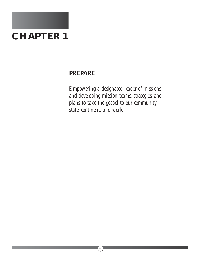

## **PREPARE**

*Empowering a designated leader of missions and developing mission teams, strategies, and plans to take the gospel to our community, state, continent, and world.*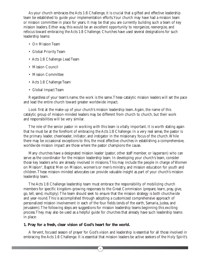As your church embraces the Acts 1:8 Challenge, it is crucial that a gifted and effective leadership team be established to guide your implementation efforts.Your church may have had a mission team or mission committee in place for years. It may be that you are currently building such a team of key mission leaders. Either way, this would be an excellent opportunity to reorganize, reenergize, and refocus toward embracing the Acts 1:8 Challenge. Churches have used several designations for such leadership teams:

- On Mission Team
- Global Priority Team
- Acts 1:8 Challenge Lead Team
- Mission Council
- Mission Committee
- Acts 1:8 Challenge Team
- Global Impact Team

Regardless of your team's name, the work is the same.These catalytic mission leaders will set the pace and lead the entire church toward greater worldwide impact.

Look first at the make-up of your church's mission leadership team. Again, the name of this catalytic group of mission-minded leaders may be different from church to church, but their work and responsibilities will be very similar.

The role of the senior pastor in working with this team is vitally important. It is worth stating again that he must be at the forefront of embracing the Acts 1:8 Challenge. In a very real sense, the pastor is the primary leader, cheerleader, initiator, and instigator in the missionary focus of the church.While there may be occasional exceptions to this, the most effective churches in establishing a comprehensive, worldwide mission impact are those where the pastor champions the cause.

Many churches have a designated mission leader (pastor, other staff member, or layperson) who can serve as the coordinator for the mission leadership team. In developing your church's team, consider those key leaders who are already involved in missions.This may include the people in charge of Women on Mission®, Baptist Men on Mission, women's or men's ministry, and mission education for youth and children.These mission-minded advocates can provide valuable insight as part of your church's mission leadership team.

The Acts 1:8 Challenge leadership team must embrace the responsibility of mobilizing church members for specific kingdom-growing responses to the Great Commission (prepare, learn, pray, give, go, tell, send, multiply).The team should seek to ensure that the mission strategy is both churchwide and year-round.This is accomplished through adopting a customized comprehensive approach of personalized mission involvement in each of the four fields (ends of the earth, Samaria, Judea, and Jerusalem).The following steps are suggestions for mission leadership teams beginning this exciting process.They may also be used as a helpful guide for churches that already have such leadership teams in place:

#### **1. Pray for a fresh, clear vision of God's heart for the world.**

A fervent, focused season of prayer for God's vision and leadership is essential for all those involved in embracing the Acts 1:8 Challenge. It is essential that mission leaders be active seekers of the Holy Spirit's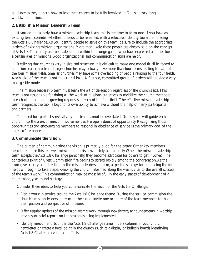guidance as they discern how to lead their church to be fully involved in God's history-long, worldwide mission.

#### **2. Establish a Mission Leadership Team.**

If you do not already have a mission leadership team, this is the time to form one. If you have an existing team, consider whether it needs to be renamed, with a refocused identity toward embracing the Acts 1:8 Challenge.As you identify people to serve on this team, be sure to include the appropriate leaders of existing mission organizations. More than likely, these people are already sold on the concept of Acts 1:8.There may also be leaders from within the congregation who have expressed affinities toward a certain area of missions. Good organizational and communication skills are helpful.

Realizing that churches vary in size and structure, it is difficult to make one model fit all in regard to a mission leadership team. Larger churches may actually have more than four teams relating to each of the four mission fields. Smaller churches may have some overlapping of people relating to the four fields. Again, size of the team is not the critical issue. A focused, committed group of leaders will provide a very manageable model.

The mission leadership team must learn the art of delegation regardless of the church's size.This team is not responsible for doing all the work of missions but serves to mobilize the church members in each of the kingdom-growing responses in each of the four fields.The effective mission leadership team recognizes the task is beyond its own ability to achieve without the help of many participants and partners.

The need for spiritual sensitivity by this team cannot be overstated. God's Spirit will guide each church into the areas of mission involvement as He opens doors of opportunity. Recognizing those opportunities and encouraging members to respond in obedience of service is the primary goal of the "prepare" response.

#### **3. Communicate the vision.**

The burden of communicating the vision is primarily a job for the pastor. Other key members need to endorse this renewed mission emphasis passionately and publicly.When the mission leadership team accepts the Acts 1:8 Challenge personally, they become advocates for others to get involved.The contagious spirit of Great Commission fire begins to spread rapidly among the congregation.As the Lord gives clarity and direction to the mission leadership team, a specific strategy for embracing the four fields will begin to take shape. Keeping the church informed along the way is vital to the overall success of the team's work.This communication may be most helpful in the early stages of development of a churchwide, year-round strategy.

Consider these ideas to help you communicate the vision of the Acts 1:8 Challenge.

- Plan a worship service around the Acts 1:8 Challenge theme. During the service, commission the church's mission leadership team to their role. Invite one or more of the team members to share their passion and perspective of missions.
- Offer regular updates of the mission team's work through newsletters, announcements in worship services, or brief reports on the strategies being implemented.
- Identify mission efforts under the Acts 1:8 Challenge name. Title a column in your church newsletter or create a focal point in the church (such as a display or bulletin board) identifying Acts 1:8 Challenge events and efforts.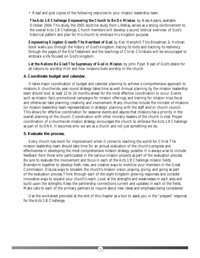• Read and give copies of the following resources to your mission leadership team.

*The Acts 1:8 Challenge: Empowering the Church to Be On Mission*, by Nate Adams, available October 2004.This study, the 2005 doctrine study from LifeWay, serves as a strong reinforcement to the overall Acts 1:8 Challenge. Church members will develop a sound, biblical overview of God's historical pattern and plan for His church to embrace His kingdom purpose.

*Empowering Kingdom Growth:The Heartbeat of God*, by Ken Hemphill.This Broadman & Holman book walks you through the history of God's kingdom, tracing its roots and tracking its resiliency through the pages of the Old Testament and the teachings of Christ. Christians will be encouraged to embrace a life focused on God's kingdom.

*Let the Nations Be Glad:The Supremacy of God in Mission*, by John Piper. Read of God's desire for all nations to worship Him and how missions fuels worship in the church.

#### **4. Coordinate budget and calendar.**

It takes major coordination of budget and calendar planning to achieve a comprehensive approach to missions.A churchwide, year-round strategy takes time as well.Annual planning by the mission leadership team should look at least 12 to 24 months ahead for the most effective coordination to occur. Events such as mission fairs, promotional campaigns for mission offerings, and training for mission trips (local and otherwise) take planning, creativity, and involvement. Many churches include the minister of missions (or mission leadership team representative) in strategic planning with the staff and/or church council. This allows for effective coordination for seasonal events and assures that missions has a priority in the overall planning of the church. Coordination with other ministry leaders of the church is vital. Proper coordination of a churchwide mission strategy encourages the church to embrace the Acts 1:8 Challenge as part of its DNA. It becomes who we are as a church and not just something we do.

#### **5. Evaluate the process.**

Every church has room for improvement when it comes to reaching the world for Christ.The mission leadership team should take time for an annual evaluation of the church's progress and effectiveness in developing the most comprehensive mission strategy possible. It is always wise to include feedback from those who participated in the various mission projects as part of the evaluation process. Be sure to evaluate the involvement and focus in each of the Acts 1:8 Challenge mission fields. Brainstorm together to develop fresh, new, and creative ways to mobilize your members in the Great Commission. Discuss ways to broaden the church's mission vision, praying, giving, and going as part of the evaluation process.Think through each of the eight kingdom-growing responses and consider innovative ways to expand your church's reach. Look at the strengths and weaknesses in each area and build upon the strengths. Keep the partnership connections current and updated in each of the fields. Make calls to each of the primary partners to inquire about new ideas and emphases being considered.

Use the worksheet provided at the end of this chapter as a tool to assist you in the "prepare" response for the Acts 1:8 Challenge.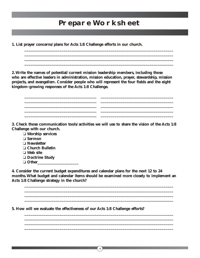## **Prepare Worksheet**

**\_\_\_\_\_\_\_\_\_\_\_\_\_\_\_\_\_\_\_\_\_\_\_\_\_\_\_\_\_\_\_\_\_\_\_\_\_\_\_\_\_\_\_\_\_\_\_\_\_\_\_\_\_\_\_\_\_\_\_\_\_\_\_\_\_\_\_\_\_\_\_\_\_\_\_\_**

**\_\_\_\_\_\_\_\_\_\_\_\_\_\_\_\_\_\_\_\_\_\_\_\_\_\_\_\_\_\_\_\_\_\_\_\_\_\_\_\_\_\_\_\_\_\_\_\_\_\_\_\_\_\_\_\_\_\_\_\_\_\_\_\_\_\_\_\_\_\_\_\_\_\_\_\_**

**\_\_\_\_\_\_\_\_\_\_\_\_\_\_\_\_\_\_\_\_\_\_\_\_\_\_\_\_\_\_\_\_\_\_\_\_\_\_\_\_\_\_\_\_\_\_\_\_\_\_\_\_\_\_\_\_\_\_\_\_\_\_\_\_\_\_\_\_\_\_\_\_\_\_\_\_ \_\_\_\_\_\_\_\_\_\_\_\_\_\_\_\_\_\_\_\_\_\_\_\_\_\_\_\_\_\_\_\_\_\_\_\_\_\_\_\_\_\_\_\_\_\_\_\_\_\_\_\_\_\_\_\_\_\_\_\_\_\_\_\_\_\_\_\_\_\_\_\_\_\_\_\_ \_\_\_\_\_\_\_\_\_\_\_\_\_\_\_\_\_\_\_\_\_\_\_\_\_\_\_\_\_\_\_\_\_\_\_\_\_\_\_\_\_\_\_\_\_\_\_\_\_\_\_\_\_\_\_\_\_\_\_\_\_\_\_\_\_\_\_\_\_\_\_\_\_\_\_\_ \_\_\_\_\_\_\_\_\_\_\_\_\_\_\_\_\_\_\_\_\_\_\_\_\_\_\_\_\_\_\_\_\_\_\_\_\_\_\_\_\_\_\_\_\_\_\_\_\_\_\_\_\_\_\_\_\_\_\_\_\_\_\_\_\_\_\_\_\_\_\_\_\_\_\_\_ \_\_\_\_\_\_\_\_\_\_\_\_\_\_\_\_\_\_\_\_\_\_\_\_\_\_\_\_\_\_\_\_\_\_\_\_\_\_\_\_\_\_\_\_\_\_\_\_\_\_\_\_\_\_\_\_\_\_\_\_\_\_\_\_\_\_\_\_\_\_\_\_\_\_\_\_**

**\_\_\_\_\_\_\_\_\_\_\_\_\_\_\_\_\_\_\_\_\_\_\_\_\_\_\_\_\_\_\_\_\_\_\_\_\_\_\_\_\_\_\_\_\_\_\_\_\_\_\_\_\_\_\_\_\_\_\_\_\_\_\_\_\_\_\_\_\_\_\_\_\_\_\_\_**

**1. List prayer concerns/plans for Acts 1:8 Challenge efforts in our church.**

**2.Write the names of potential/current mission leadership members, including those who are effective leaders in administration, mission education, prayer, stewardship, mission projects, and evangelism. Consider people who will represent the four fields and the eight kingdom-growing responses of the Acts 1:8 Challenge.**

**3. Check those communication tools/activities we will use to share the vision of the Acts 1:8 Challenge with our church.**

❏ **Worship services** ❏ **Sermon** ❏ **Newsletter** ❏ **Church Bulletin** ❏ **Web site** ❏ **Doctrine Study**  ❏ **Other\_\_\_\_\_\_\_\_\_\_\_\_\_\_\_\_\_\_\_\_\_**

**4. Consider the current budget expenditures and calendar plans for the next 12 to 24 months.What budget and calendar items should be examined more closely to implement an Acts 1:8 Challenge strategy in the church?**

**\_\_\_\_\_\_\_\_\_\_\_\_\_\_\_\_\_\_\_\_\_\_\_\_\_\_\_\_\_\_\_\_\_\_\_\_\_\_\_\_\_\_\_\_\_\_\_\_\_\_\_\_\_\_\_\_\_\_\_\_\_\_\_\_\_\_\_\_\_\_\_\_\_\_\_\_ \_\_\_\_\_\_\_\_\_\_\_\_\_\_\_\_\_\_\_\_\_\_\_\_\_\_\_\_\_\_\_\_\_\_\_\_\_\_\_\_\_\_\_\_\_\_\_\_\_\_\_\_\_\_\_\_\_\_\_\_\_\_\_\_\_\_\_\_\_\_\_\_\_\_\_\_ \_\_\_\_\_\_\_\_\_\_\_\_\_\_\_\_\_\_\_\_\_\_\_\_\_\_\_\_\_\_\_\_\_\_\_\_\_\_\_\_\_\_\_\_\_\_\_\_\_\_\_\_\_\_\_\_\_\_\_\_\_\_\_\_\_\_\_\_\_\_\_\_\_\_\_\_ \_\_\_\_\_\_\_\_\_\_\_\_\_\_\_\_\_\_\_\_\_\_\_\_\_\_\_\_\_\_\_\_\_\_\_\_\_\_\_\_\_\_\_\_\_\_\_\_\_\_\_\_\_\_\_\_\_\_\_\_\_\_\_\_\_\_\_\_\_\_\_\_\_\_\_\_**

**\_\_\_\_\_\_\_\_\_\_\_\_\_\_\_\_\_\_\_\_\_\_\_\_\_\_\_\_\_\_\_\_\_\_\_\_\_\_\_\_\_\_\_\_\_\_\_\_\_\_\_\_\_\_\_\_\_\_\_\_\_\_\_\_\_\_\_\_\_\_\_\_\_\_\_\_**

**\_\_\_\_\_\_\_\_\_\_\_\_\_\_\_\_\_\_\_\_\_\_\_\_\_\_\_\_\_\_\_\_\_\_\_\_\_\_\_\_\_\_\_\_\_\_\_\_\_\_\_\_\_\_\_\_\_\_\_\_\_\_\_\_\_\_\_\_\_\_\_\_\_\_\_\_ \_\_\_\_\_\_\_\_\_\_\_\_\_\_\_\_\_\_\_\_\_\_\_\_\_\_\_\_\_\_\_\_\_\_\_\_\_\_\_\_\_\_\_\_\_\_\_\_\_\_\_\_\_\_\_\_\_\_\_\_\_\_\_\_\_\_\_\_\_\_\_\_\_\_\_\_**

14

**5. How will we evaluate the effectiveness of our Acts 1:8 Challenge efforts?**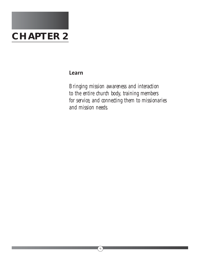

#### **Learn**

*Bringing mission awareness and interaction to the entire church body, training members for service, and connecting them to missionaries and mission needs.*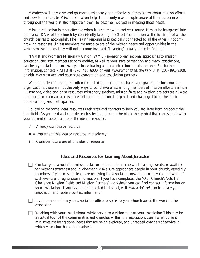Members will pray, give, and go more passionately and effectively if they know about mission efforts and how to participate. Mission education helps to not only make people aware of the mission needs throughout the world, it also helps train them to become involved in meeting those needs.

Mission education is most effective when it is churchwide and year-round. It must be integrated into the overall DNA of the church by consistently keeping the Great Commission at the forefront of all the church desires to accomplish.The "learn" response is strategically connected to all the other kingdomgrowing responses. Unless members are made aware of the mission needs and opportunities in the various mission fields, they will not become involved."Learning" usually precedes "doing."

NAMB and Woman's Missionary Union (WMU) sponsor organizational approaches to mission education, and staff members at both entities, as well as your state convention and many associations, can help you start units or assist you in evaluating and give direction to existing ones. For further information, contact NAMB at (770) 410-6000, or visit *www.namb.net/educate*;WMU at (205) 991-8100, or visit *www.wmu.com*; and your state convention and association partners.

While the "learn" response is often facilitated through church-based, age-graded mission education organizations, these are not the only ways to build awareness among members of mission efforts. Sermon illustrations, video and print resources, missionary speakers, mission fairs, and mission projects are all ways members can learn about mission efforts and be informed, inspired, and challenged to further their understanding and participation.

Following are some ideas, resources,Web sites, and contacts to help you facilitate learning about the four fields.As you read and consider each selection, place in the block the symbol that corresponds with your current or potential use of the idea or resource.

- $\checkmark$  = Already use idea or resource
- $*$  = Implement this idea or resource immediately
- **?** = Consider future use of this idea or resource

#### **Ideas and Resources for Learning About Jerusalem**

 $\Box$  Contact your association missions staff or office to determine what training events are available for missions awareness and involvement. Make sure appropriate people in your church, especially members of your mission team, are receiving the association newsletter so they can be aware of such events and registration information. If you have completed the "Our Church's Acts 1:8 Challenge Mission Fields and Mission Partners" worksheet, you can find contact information on your association. If you have not completed that sheet, visit *www.ActsOne8.com* to locate your association and receive contact information.

Invite someone from your association office to speak to your church about the work in the association.

Working with your associational missionary, plan a vision tour of your association. This may be an actual tour of the communities and churches within the association. Learn what current ministries are being done, needs that are being explored, and untapped channels of service in which your church can be involved.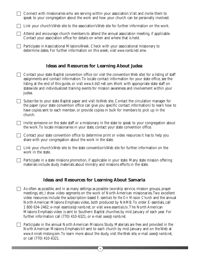| Connect with missionaries who are serving within your association. Visit and invite them to<br>speak to your congregation about the work and how your church can be personally involved.                                                                                                                                                                                                                                     |
|------------------------------------------------------------------------------------------------------------------------------------------------------------------------------------------------------------------------------------------------------------------------------------------------------------------------------------------------------------------------------------------------------------------------------|
| Link your church's Web site to the association's Web site for further information on the work.                                                                                                                                                                                                                                                                                                                               |
| Attend and encourage church members to attend the annual association meeting, if applicable.<br>Contact your association office for details on when and where that is held.                                                                                                                                                                                                                                                  |
| Participate in Associational Missions Week. Check with your associational missionary to<br>determine dates. For further information on this week, visit www.namb.net/amw.                                                                                                                                                                                                                                                    |
| <b>Ideas and Resources for Learning About Judea</b>                                                                                                                                                                                                                                                                                                                                                                          |
| Contact your state Baptist convention office (or visit the convention Web site) for a listing of staff<br>assignments and contact information. To locate contact information for your state office, see the<br>listing at the end of this guide, or visit www.ActsOne8.com. Work with appropriate state staff on<br>statewide and individualized training events for mission awareness and involvement within your<br>Judea. |
| Subscribe to your state Baptist paper and visit its Web site. Contact the circulation manager for<br>the paper (your state convention office can give you specific contact information) to learn how to<br>have copies sent to each member, or provide copies in bulk for members to pick up in the<br>church.                                                                                                               |
| Invite someone on the state staff or a missionary in the state to speak to your congregation about<br>the work. To locate missionaries in your state, contact your state convention office.                                                                                                                                                                                                                                  |
| Contact your state convention office to determine print or video resources it has to help you<br>share with your congregation about the work in the state.                                                                                                                                                                                                                                                                   |
| Link your church's Web site to the state convention's Web site for further information on the<br>work in the state.                                                                                                                                                                                                                                                                                                          |
| Participate in a state missions promotion, if applicable in your state. Many state mission offering<br>materials include study materials about ministry and missions efforts in the state.                                                                                                                                                                                                                                   |
| <b>Ideas and Resources for Learning About Samaria</b>                                                                                                                                                                                                                                                                                                                                                                        |
| As often as possible, and in as many settings as possible (worship service, mission groups, prayer<br>meetings, etc.) show video segments on the work of North American missionaries. Two excellent<br>video resources include the subscription-based E-ssentials for the On Mission Church and the annual                                                                                                                   |

North American Missions Emphasis video, both produced by NAMB.To order E-ssentials, call 1 800 634-2462; e-mail *essentials@namb.net*; or visit *www.essentials.tv*.The North American Missions Emphasis video is sent to Southern Baptist churches by mid-January of each year. For further information call (770) 410-6321, or e-mail *aaeo@namb.net*.

 Participate in the annual North American Missions Study. Materials are free and provided in the North American Missions Emphasis kit sent to each church by mid-January and on the Web at *www.AnnieArmstong.com*.To learn more about the study, visit the Web site, e-mail *aaeo@namb.net*, or call (770) 410-6321.

 $\frac{17}{4}$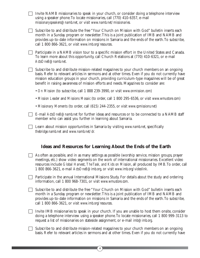|  | Invite NAMB missionaries to speak in your church, or consider doing a telephone interview<br>using a speaker phone. To locate missionaries, call (770) 410-6357, e-mail<br>missionaryspeakers@namb.net, or visit www.namb.net/missionaries.                                                                                                                                                |
|--|--------------------------------------------------------------------------------------------------------------------------------------------------------------------------------------------------------------------------------------------------------------------------------------------------------------------------------------------------------------------------------------------|
|  | Subscribe to and distribute the free "Your Church on Mission with God" bulletin inserts each<br>month in a Sunday program or newsletter. This is a joint publication of IMB and NAMB and<br>provides up-to-date information on missions in Samaria and the ends of the earth. To subscribe,<br>call 1 800 866-3621, or visit www.imb.org/resources.                                        |
|  | Participate in a NAMB vision tour to a specific mission effort in the United States and Canada.<br>To learn more about this opportunity, call Church Relations at (770) 410-6321, or e-mail<br>ActsOne8@namb.net.                                                                                                                                                                          |
|  | Subscribe to and distribute mission-related magazines to your church members on an ongoing<br>basis. Refer to relevant articles in sermons and at other times. Even if you do not currently have<br>mission education groups in your church, providing curriculum-type magazines will be of great<br>benefit in raising awareness of mission efforts and needs. Magazines to consider are: |
|  | • On Mission (to subscribe, call 1 888 239-3990, or visit www.onmission.com)                                                                                                                                                                                                                                                                                                               |
|  | • Mission Leader and Missions Mosaic (to order, call 1 800 295-6536, or visit www.wmustore.com)                                                                                                                                                                                                                                                                                            |
|  | • Missionary Moments (to order, call (615) 244-2355, or visit www.cpmissions.net)                                                                                                                                                                                                                                                                                                          |
|  | E-mail ActsOne8@namb.net for further ideas and resources or to be connected to a NAMB staff<br>member who can assist you further in learning about Samaria.                                                                                                                                                                                                                                |
|  | Learn about mission opportunities in Samaria by visiting www.namb.net, specifically<br>thebridge.namb.net and www.namb.net/dr.                                                                                                                                                                                                                                                             |
|  |                                                                                                                                                                                                                                                                                                                                                                                            |
|  | Ideas and Resources for Learning About the Ends of the Earth                                                                                                                                                                                                                                                                                                                               |
|  | As often as possible, and in as many settings as possible (worship service, mission groups, prayer<br>meetings, etc.) show video segments on the work of international missionaries. Excellent video<br>resources include Global Harvest, The Task, and Kids on Mission, all produced by IMB. To order, call<br>1 800 866-3621, e-mail ActsOne8@imb.org, or visit www.imb.org/videolink.   |
|  | Participate in the annual International Missions Study. For details about the study and ordering<br>information, call 1 800 968-7301, or visit www.wmustore.com.                                                                                                                                                                                                                           |
|  | Subscribe to and distribute the free "Your Church on Mission with God" bulletin inserts each<br>month in a Sunday program or newsletter. This is a joint publication of IMB and NAMB and<br>provides up-to-date information on missions in Samaria and the ends of the earth. To subscribe,<br>call 1 800 866-3621, or visit www.imb.org/resources.                                        |
|  | Invite IMB missionaries to speak in your church. If you are unable to host them onsite, consider<br>doing a telephone interview using a speaker phone. To locate missionaries, call 1 800 999-3113 to<br>request a list of missionaries on stateside assignment, or e-mail <i>imb@imb.org</i> .                                                                                            |

 $\begin{pmatrix} 18 \\ 1 \end{pmatrix}$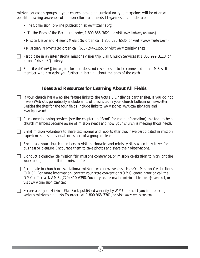mission education groups in your church, providing curriculum-type magazines will be of great benefit in raising awareness of mission efforts and needs. Magazines to consider are:

- *The Commission* (on-line publication at *www.tconline.org*)
- "To the Ends of the Earth" (to order, 1 800 866-3621, or visit *www.imb.org/resources*)
- *Mission Leader* and *Missions Mosaic* (to order, call 1 800 295-6536, or visit *www.wmustore.com*)
- *Missionary Moments* (to order, call (615) 244-2355, or visit *www.cpmissions.net*)

Participate in an international missions vision trip. Call Church Services at 1 800 999-3113, or e-mail *ActsOne8@imb.org*.

 E-mail *ActsOne8@imb.org* for further ideas and resources or to be connected to an IMB staff member who can assist you further in learning about the ends of the earth.

#### **Ideas and Resources for Learning About All Fields**

 $\Box$  If your church has a Web site, feature links to the Acts 1:8 Challenge partner sites. If you do not have a Web site, periodically include a list of these sites in your church bulletin or newsletter. Besides the sites for the four fields, include links to *www.sbc.net*, *www.cpmissions.org*, and *www.bpnews.net.*

 Plan commissioning services (see the chapter on "Send" for more information) as a tool to help church members become aware of mission needs and how your church is meeting those needs.

 $\Box$  Enlist mission volunteers to share testimonies and reports after they have participated in mission experiences—as individuals or as part of a group or team.

 $\Box$  Encourage your church members to visit missionaries and ministry sites when they travel for business or pleasure. Encourage them to take photos and share their observations.

 $\Box$  Conduct a churchwide mission fair, missions conference, or mission celebration to highlight the work being done in all four mission fields.

**Participate in church or associational mission awareness events such as On Mission Celebrations** (OMC). For more information, contact your state convention's OMC coordinator or call the OMC office at NAMB, (770) 410-6398.You may also e-mail *onmissioncelebrations@namb.net*, or visit *www.onmission.com/omc.*

 Secure a copy of *Missions Plan Book* published annually by WMU to assist you in preparing various missions emphasis.To order call 1 800 968-7301, or visit *www.wmustore.com*.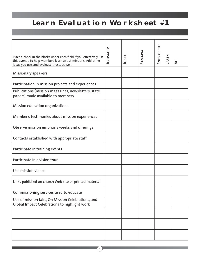## **Learn Evaluation Worksheet** #**1**

| Place a check in the blocks under each field if you effectively use<br>this avenue to help members learn about missions. Add other<br>ideas you use, and evaluate those, as well. | JERUSALEM | JUDEA | SAMARIA | ш<br>ENDS OF TH | EARTH | $\overline{4}$ |
|-----------------------------------------------------------------------------------------------------------------------------------------------------------------------------------|-----------|-------|---------|-----------------|-------|----------------|
| Missionary speakers                                                                                                                                                               |           |       |         |                 |       |                |
| Participation in mission projects and experiences                                                                                                                                 |           |       |         |                 |       |                |
| Publications (mission magazines, newsletters, state<br>papers) made available to members                                                                                          |           |       |         |                 |       |                |
| Mission education organizations                                                                                                                                                   |           |       |         |                 |       |                |
| Member's testimonies about mission experiences                                                                                                                                    |           |       |         |                 |       |                |
| Observe mission emphasis weeks and offerings                                                                                                                                      |           |       |         |                 |       |                |
| Contacts established with appropriate staff                                                                                                                                       |           |       |         |                 |       |                |
| Participate in training events                                                                                                                                                    |           |       |         |                 |       |                |
| Participate in a vision tour                                                                                                                                                      |           |       |         |                 |       |                |
| Use mission videos                                                                                                                                                                |           |       |         |                 |       |                |
| Links published on church Web site or printed material                                                                                                                            |           |       |         |                 |       |                |
| Commissioning services used to educate                                                                                                                                            |           |       |         |                 |       |                |
| Use of mission fairs, On Mission Celebrations, and<br>Global Impact Celebrations to highlight work                                                                                |           |       |         |                 |       |                |
|                                                                                                                                                                                   |           |       |         |                 |       |                |
|                                                                                                                                                                                   |           |       |         |                 |       |                |
|                                                                                                                                                                                   |           |       |         |                 |       |                |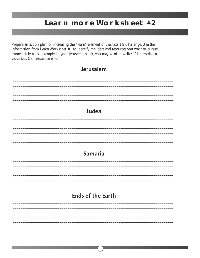## **LEARN MORE WORKSHEET #2**

Prepare an action plan for increasing the "learn" element of the Acts 1:8 Challenge. Use the information from Learn Worksheet #1 to identify the ideas and resources you want to pursue immediately. As an example, in your Jerusalem block, you may want to write: "Plan association vision tour. Call association office."

| Jerusalem                |
|--------------------------|
|                          |
|                          |
|                          |
|                          |
|                          |
| Judea                    |
|                          |
|                          |
|                          |
|                          |
|                          |
| <b>Samaria</b>           |
|                          |
|                          |
|                          |
|                          |
|                          |
|                          |
| <b>Ends of the Earth</b> |
|                          |
|                          |
|                          |
|                          |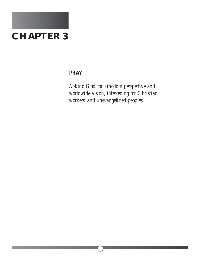

#### **PRAY**

*Asking God for kingdom perspective and worldwide vision, interceding for Christian workers, and unevangelized peoples.*

 $\left(\begin{matrix}22\end{matrix}\right)$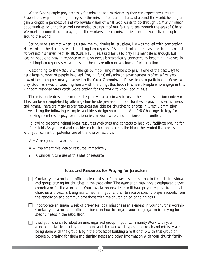When God's people pray earnestly for missions and missionaries, they can expect great results. Prayer has a way of opening our eyes to the mission fields around us and around the world, helping us gain a kingdom perspective and worldwide vision of what God wants to do through us. Many mission opportunities go unnoticed and unattended as a result of our failure to see through the eyes of Christ. We must be committed to praying for the workers in each mission field and unevangelized peoples around the world.

Scripture tells us that when Jesus saw the multitudes in Jerusalem, He was moved with compassion. His words to the disciples reflect this kingdom response: *"Ask the Lord of the harvest, therefore, to send out workers into his harvest field" (Matt. 9:38, NIV).* Jesus said for us to pray. His mandate is enough, but leading people to pray in response to mission needs is strategically connected to becoming involved in other kingdom responses.As we pray, our hearts are often drawn toward further action.

Responding to the Acts 1:8 Challenge by mobilizing members to pray is one of the best ways to get a large number of people involved. Praying for God's mission advancement is often a first step toward becoming personally involved in the Great Commission. Prayer leads to participation.When we pray, God has a way of touching hearts with the things that touch His heart. People who engage in this kingdom response often catch God's passion for the world to know about Jesus.

The mission leadership team must keep prayer as a primary focus of the church's mission endeavor. This can be accomplished by offering churchwide, year-round opportunities to pray for specific needs and names.There are many prayer resources available for churches to engage in Great Commission prayer. Using the following examples and ideas, design your unique Acts 1:8 Challenge strategy for mobilizing members to pray for missionaries, mission causes, and missions opportunities.

Following are some helpful ideas, resources,Web sites, and contacts to help you facilitate praying for the four fields.As you read and consider each selection, place in the block the symbol that corresponds with your current or potential use of the idea or resource.

- $\checkmark$  = Already use idea or resource
- $\textbf{\textit{*}}$  = Implement this idea or resource immediately
- **?** = Consider future use of this idea or resource

#### **Ideas and Resources for Praying for Jerusalem**

- Contact your association office to learn of specific prayer resources it has to facilitate individual and group praying for churches in the association.The association may have a designated prayer coordinator for the association.Your association newsletter will have prayer requests from local churches and pastors. Designate someone in your church to receive specific prayer requests from the association and communicate those with the church on an ongoing basis.
- Incorporate an annual week of prayer for local missions as an element in your church's worship. Contact your association office for ideas on how to engage your congregation in praying for specific needs in the association.
- $\Box$  Lead your church to adopt an unevangelized group in your community. Work with your association staff to identify such groups and discover what types of outreach and ministry are being done with the group. Begin the process of building a relationship with that group of people by praying for them and sharing needs and other information with your church family.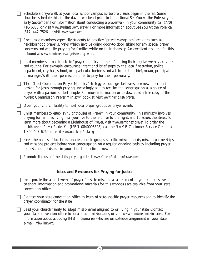| Schedule a prayerwalk at your local school campus(es) before classes begin in the fall. Some<br>churches schedule this for the day or weekend prior to the national See You At the Pole rally in<br>early September. For information about conducting a prayerwalk in your community, call (770)<br>410-6333, or visit www.studentz.com/prayer. For more information about See You At the Pole, call<br>(817) 447-7526, or visit www.syatp.com.        |
|--------------------------------------------------------------------------------------------------------------------------------------------------------------------------------------------------------------------------------------------------------------------------------------------------------------------------------------------------------------------------------------------------------------------------------------------------------|
| Encourage members, especially students, to practice "prayer evangelism" activities such as<br>neighborhood prayer surveys, which involve going door-to-door asking for any special prayer<br>concerns and actually praying for families while on their doorstep. An excellent resource for this<br>is found at www.namb.net/evangelism/prayer/tps.                                                                                                     |
| Lead members to participate in "prayer ministry moments" during their regular weekly activities<br>and routine. For example, encourage intentional brief stops by the local fire station, police<br>department, city hall, school, or a particular business and ask to see the chief, mayor, principal,<br>or manager. With their permission, offer to pray for them personally.                                                                       |
| The "Great Commission Prayer Ministry" strategy encourages believers to renew a personal<br>passion for Jesus through praying unceasingly and to reclaim the congregation as a house of<br>prayer with a passion for lost people. For more information or to download a free copy of the<br>"Great Commission Prayer Ministry" booklet, visit www.namb.net/prayer.                                                                                     |
| Open your church facility to host local prayer groups or prayer events.                                                                                                                                                                                                                                                                                                                                                                                |
| Enlist members to establish "Lighthouses of Prayer" in your community. This ministry involves<br>praying for families living near you-five to the left, five to the right, and 10 across the street. To<br>learn more about becoming a Lighthouse of Prayer, visit www.namb.net/prayer. To order the<br>Lighthouse of Prayer Starter Kit (ISBN 0840096828), call the NAMB Customer Service Center at<br>1 866 407-6262, or visit www.namb.net/catalog. |
| Keep the names of local missionaries, people groups, specific mission needs, mission partnerships,<br>and missions projects before your congregation on a regular, ongoing basis by including prayer<br>requests and needs lists in your church bulletin or newsletter.                                                                                                                                                                                |
| □ Promote the use of the daily prayer guide at www.OneInAMillionPrayer.com.                                                                                                                                                                                                                                                                                                                                                                            |
|                                                                                                                                                                                                                                                                                                                                                                                                                                                        |
| <b>Ideas and Resources for Praying for Judea</b>                                                                                                                                                                                                                                                                                                                                                                                                       |
| Incorporate the annual week of prayer for state missions as an element in your church's event<br>calendar. Information and promotional materials for this emphasis are available from your state<br>convention office.                                                                                                                                                                                                                                 |
| Contact your state convention office to learn of state-specific prayer resources and to identify the<br>prayer coordinator for the state.                                                                                                                                                                                                                                                                                                              |
| Lead your church family to adopt missionaries assigned to or living in your state. Contact<br>your state convention office to locate such missionaries, or visit www.namb.net/missionaries. For<br>information about adopting IMB missionaries who are on stateside assignment in your state,<br>e-mail imb@imb.org.                                                                                                                                   |

 $\left(\begin{matrix}24\end{matrix}\right)$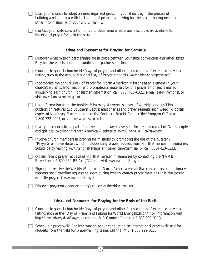| $\Box$ Lead your church to adopt an unevangelized group in your state. Begin the process of |
|---------------------------------------------------------------------------------------------|
| building a relationship with that group of people by praying for them and sharing needs and |
| other information with your church family.                                                  |

| □ Contact your state convention office to determine what prayer resources are available for |
|---------------------------------------------------------------------------------------------|
| intentional prayer focus in the state.                                                      |

#### **Ideas and Resources for Praying for Samaria**

| $\Box$ Discover what mission partnerships are in place between your state convention and other states. |
|--------------------------------------------------------------------------------------------------------|
| Pray for the efforts and opportunities this partnership affords.                                       |

- Coordinate special churchwide "days of prayer" and other focused times of extended prayer and fasting, such as the annual National Day of Prayer emphasis *(www.nationaldayofprayer.org)*.
- $\Box$  Incorporate the annual Week of Prayer for North American Missions as an element in your church's worship. Information and promotional materials for this prayer emphasis is mailed annually to each church. For further information, call (770) 410-6321, e-mail *aaeo@namb.net*, or visit *www.AnnieArmstrong.com.*
- Use information from the booklet *Missionary Moments* as a part of worship services.This publication features two Southern Baptist missionaries and prayer requests each week.To obtain copies of *Missionary Moments*, contact the Southern Baptist Cooperative Program Office at 1 800 722-9407, or visit *www.cpmissions.net.*
- Lead your church to be part of a developing prayer movement focused on revival of God's people and spiritual awaking in North America. Register at *www.OneInAMillionPrayer.com.*
	- Involve church members in praying for missions by promoting the use of the quarterly "PrayerGram" newsletter, which includes daily prayer requests from North American missionaries. Subscribe by visiting *www.namb.net/evangelism/prayer/prayergram.asp,* or call (770) 410-6333.
- Obtain recent prayer requests of North American missionaries by contacting the NAMB Prayerline at 1 800 554-PRAY (7729), or visit *www.namb.net/prayer.*
- $\Box$  Sign up to receive the Weekly Window on North America e-mail that contains seven missionary requests and Prayerline requests to share during weekly church prayer meetings. It is also posted on daily prayer at *www.namb.net/prayer.*
- Discover prayerwalk opportunities/projects at *thebridge.namb.net.*

#### **Ideas and Resources for Praying for the Ends of the Earth**

- Coordinate special churchwide "days of prayer" and other focused times of extended prayer and fasting, such as the "Day of Prayer and Fasting for World Evangelization." For information visit *http://ime.imb.org/dayofprayer*, or call the IMB Contact Center at 1 800 999-3113.
- Schedule a prayerwalk. For information about conducting an international prayerwalk and for requests from the field for prayerwalking teams, call the IMB, 1 800 999-3113.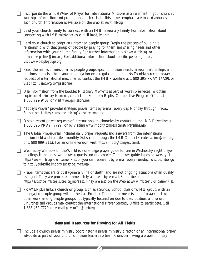| Incorporate the annual Week of Prayer for International Missions as an element in your church's<br>worship. Information and promotional materials for this prayer emphasis are mailed annually to<br>each church. Information is available on the Web at www.imb.org.                                                                                                                                                                   |
|-----------------------------------------------------------------------------------------------------------------------------------------------------------------------------------------------------------------------------------------------------------------------------------------------------------------------------------------------------------------------------------------------------------------------------------------|
| Lead your church family to connect with an IMB missionary family. For information about<br>connecting with IMB missionaries, e-mail imb@imb.org.                                                                                                                                                                                                                                                                                        |
| Lead your church to adopt an unreached people group. Begin the process of building a<br>relationship with that group of people by praying for them and sharing needs and other<br>information with your church family. For further information, visit www.imb.org, or<br>e-mail peoplelink@imb.org. For additional information about specific people groups,<br>visit www.peoplegroups.org.                                             |
| Keep the names of missionaries, people groups, specific mission needs, mission partnerships, and<br>missions projects before your congregation on a regular, ongoing basis. To obtain recent prayer<br>requests of international missionaries, contact the IMB Prayerline at 1 800 395-PRAY (7729), or<br>visit http://imb.org/compassionnet.                                                                                           |
| Use information from the booklet Missionary Moments as part of worship services. To obtain<br>copies of Missionary Moments, contact the Southern Baptist Cooperative Program Office at<br>1 800 722-9407, or visit www.cpmissions.net.                                                                                                                                                                                                  |
| "Today's Prayer" provides strategic prayer items by e-mail every day, Monday through Friday.<br>Subscribe at http://subscribe.imb.org/subscribe_more.asp.                                                                                                                                                                                                                                                                               |
| Obtain recent prayer requests of international missionaries by contacting the IMB Prayerline at<br>1 800 395-PRAY (7729), or by visiting www.imb.org/compassionnet/prayerline.asp.                                                                                                                                                                                                                                                      |
| The Global PrayerGram includes daily prayer requests and answers from the international<br>mission field and is mailed monthly. Subscribe through the IMB Contact Center at <i>imb@imb.org</i> ,<br>or 1 800 999-3113. For an online version, visit http://imb.org/compassionnet.                                                                                                                                                       |
| Wednesday Window on the World is a one-page prayer guide for use in Wednesday night prayer<br>meetings. It includes two prayer requests and one answer. The prayer guide is posted weekly at<br>http://www.imb.org/CompassionNet, or you can receive it by e-mail every Tuesday. To subscribe, go<br>to http://subscribe.imb.org/subscribe_more.asp.                                                                                    |
| Prayer items that are critical (generally life or death) and are not ongoing situations often qualify<br>as urgent. They are processed immediately and sent by e-mail. Subscribe at<br>http://subscribe.imb.org/subscribe_more.asp. They are also on the Web at www.imb.org/CompassionNet.                                                                                                                                              |
| PRAYER plus links a church or group, such as a Sunday School class or WMU group, with an<br>unengaged people group within the Last Frontier. This commitment is one of prayer that will<br>open work among people groups not typically focused on due to size, location, and so on.<br>Churches and groups may contact the International Prayer Strategy Office to participate. Call<br>1 888 462-7729, or e-mail prayeroffice@imb.org. |

#### **Ideas and Resources for Praying for All Fields**

 Include a church prayer ministry coordinator, a prayer ministry director, or an international prayer advocate as part of your church's mission leadership team. Consider having a prayer ministry

 $\left( 26\right)$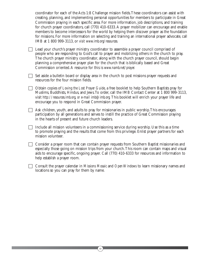coordinator for each of the Acts 1:8 Challenge mission fields.These coordinators can assist with creating, planning, and implementing personal opportunities for members to participate in Great Commission praying in each specific area. For more information, job descriptions, and training for church prayer coordinators, call (770) 410-6333.A prayer mobilizer can encourage and enable members to become intercessors for the world by helping them discover prayer as the foundation for missions. For more information on selecting and training an international prayer advocate, call IMB at 1 800 999-3113, or *visit www.imb.org/resources.*

- □ Lead your church's prayer ministry coordinator to assemble a prayer council comprised of people who are responding to God's call to prayer and mobilizing others in the church to pray. The church prayer ministry coordinator, along with the church prayer council, should begin planning a comprehensive prayer plan for the church that is biblically based and Great Commission oriented.A resource for this is *www.namb.net/prayer.*
- $\Box$  Set aside a bulletin board or display area in the church to post missions prayer requests and resources for the four mission fields.
- Obtain copies of *Loving the Lost Prayer Guide*, a free booklet to help Southern Baptists pray for Muslims, Buddhists, Hindus, and Jews.To order, call the IMB Contact Center at 1 800 999-3113, visit *http://resources.imb.org, or e-mail imb@imb.org.* This booklet will enrich your prayer life and encourage you to respond in Great Commission prayer.
- $\Box$  Ask children, youth, and adults to pray for missionaries in public worship. This encourages participation by all generations and serves to instill the practice of Great Commission praying in the hearts of present and future church leaders.
- $\Box$  Include all mission volunteers in a commissioning service during worship. Use this as a time to promote praying and the results that come from this privilege. Enlist prayer partners for each mission volunteer.
- Consider a prayer room that can contain prayer requests from Southern Baptist missionaries and especially those going on mission trips from your church.This room can contain maps and visual aids to encourage specific, ongoing prayer. Call (770) 410-6333 for resources and information to help establish a prayer room.
- Consult the prayer calendar in *Missions Mosaic* and *Open Windows* to learn missionary names and locations so you can pray for them by name.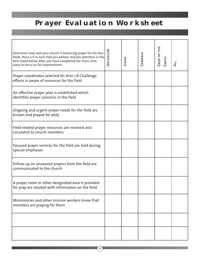## **Prayer Evaluation Worksheet**

| Determine how well your church is balancing prayer for the four<br>fields. Place a P in each field you believe receives attention in the<br>item listed below. After you have completed the chart, note<br>areas to focus on for improvement. | JERUSALEM | JUDEA | SAMARIA | ENDS OF THE<br>EARTH | $\overline{4}$ |
|-----------------------------------------------------------------------------------------------------------------------------------------------------------------------------------------------------------------------------------------------|-----------|-------|---------|----------------------|----------------|
| Prayer coordinator selected for Acts 1:8 Challenge<br>efforts is aware of resources for the field                                                                                                                                             |           |       |         |                      |                |
| An effective prayer plan is established which<br>identifies prayer concerns in the field                                                                                                                                                      |           |       |         |                      |                |
| Ongoing and urgent prayer needs for the field are<br>known and prayed for daily                                                                                                                                                               |           |       |         |                      |                |
| Field-related prayer resources are received and<br>circulated to church members                                                                                                                                                               |           |       |         |                      |                |
| Focused prayer services for the field are held during<br>special emphases                                                                                                                                                                     |           |       |         |                      |                |
| Follow-up on answered prayers from the field are<br>communicated to the church                                                                                                                                                                |           |       |         |                      |                |
| A prayer room or other designated area is provided<br>for pray-ers stocked with information on the field                                                                                                                                      |           |       |         |                      |                |
| Missionaries and other mission workers know that<br>members are praying for them                                                                                                                                                              |           |       |         |                      |                |
|                                                                                                                                                                                                                                               |           |       |         |                      |                |
|                                                                                                                                                                                                                                               |           |       |         |                      |                |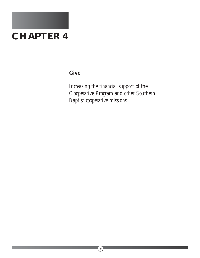

### **Give**

*Increasing the financial support of the Cooperative Program and other Southern Baptist cooperative missions.*

 $\circled{29}$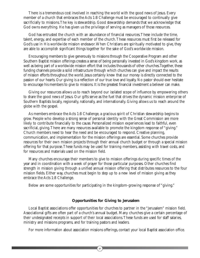There is a tremendous cost involved in reaching the world with the good news of Jesus. Every member of a church that embraces the Acts 1:8 Challenge must be encouraged to continually give sacrificially to missions.The key is stewardship. Good stewardship demands that we acknowledge that God owns everything. He has given us the privilege of serving as managers of those resources.

God has entrusted the church with an abundance of financial resources.These include the time, talent, energy, and expertise of each member of the church.These resources must first be released for God's use in His worldwide mission endeavor.When Christians are spiritually motivated to give, they are able to accomplish significant things together for the sake of God's worldwide mission.

Encouraging members to give generously to missions through the Cooperative Program and other Southern Baptist mission offerings creates a sense of being personally invested in God's kingdom work, as well as being part of a worldwide mission effort that includes thousands of other churches.Together, these funding channels provide a solid infrastructure through which churches can give and impact the results of mission efforts throughout the world. Jesus certainly knew that our money is directly connected to the passion of our hearts. Our giving is a reflection of our true love and loyalty. No pastor should ever hesitate to encourage his members to give to missions. It is the greatest financial investment a believer can make.

Giving our resources allows us to reach beyond our isolated scope of influence by empowering others to share the good news of Jesus. Our gifts serve as the fuel that drives the dynamic mission enterprise of Southern Baptists locally, regionally, nationally, and internationally. Giving allows us to reach around the globe with the gospel.

As members embrace the Acts 1:8 Challenge, a gracious spirit of Christian stewardship begins to grow. People who develop a strong sense of personal identity with the Great Commission are more likely to contribute financially to the cause. Personalized mission experiences lead to faithful, even sacrificial, giving. There are many resources available to promote the kingdom response of "giving." Church members need to hear the need and be encouraged to respond. Creative planning, communication, and implementation for the mission offerings are essential. Some churches provide resources for their own mission projects through their annual church budget or through a special mission offering for that purpose.These funds may be used for training members, assisting with travel costs, and for resources and materials used on the mission field.

Many churches encourage their members to give to mission offerings during specific times of the year and in coordination with a week of prayer for those particular purposes. Other churches find strength in mission giving through a unified annual mission offering that distributes resources to the four mission fields. Either way, churches must begin to step up to a new level of mission giving as they embrace the Acts 1:8 Challenge.

Below are some opportunities for participating in the kingdom-growing response of "giving."

#### **Opportunities for Giving to Jerusalem**

Local Baptist associations offer opportunities for churches to partner in the "Jerusalem" mission field. Associational gifts are often part of a church's annual budget. Many churches give a certain percentage of their undesignated receipts in support of their local associations.These funds are used for staff salaries, ministry and missions programs, and for training pastors and leaders.

For more information about association missions offerings, contact your local Baptist association office.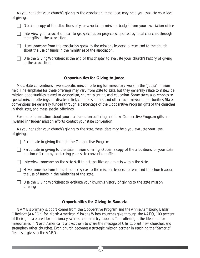As you consider your church's giving to the association, these ideas may help you evaluate your level of giving.

 $\Box$  Obtain a copy of the allocations of your association missions budget from your association office.

 $\Box$  Interview your association staff to get specifics on projects supported by local churches through their gifts to the association.

 $\Box$  Have someone from the association speak to the missions leadership team and to the church about the use of funds in the ministries of the association.

 $\Box$  Use the Giving Worksheet at the end of this chapter to evaluate your church's history of giving to the association.

#### **Opportunities for Giving to Judea**

Most state conventions have a specific mission offering for missionary work in the "Judea" mission field.The emphases for these offerings may vary from state to state, but they generally relate to statewide mission opportunities related to evangelism, church planting, and education. Some states also emphasize special mission offerings for disaster relief, children's homes, and other such mission opportunities. State conventions are generally funded through a percentage of the Cooperative Program gifts of the churches in their state, and these special offerings.

For more information about your state's missions offering and how Cooperative Program gifts are invested in "Judea" mission efforts, contact your state convention.

As you consider your church's giving to the state, these ideas may help you evaluate your level of giving.

 $\Box$  Participate in giving through the Cooperative Program.

 $\Box$  Participate in giving to the state mission offering. Obtain a copy of the allocations for your state mission offering by contacting your state convention office.

Interview someone on the state staff to get specifics on projects within the state.

 $\Box$  Have someone from the state office speak to the missions leadership team and the church about the use of funds in the ministries of the state.

 $\Box$  Use the Giving Worksheet to evaluate your church's history of giving to the state mission offering.

#### **Opportunities for Giving to Samaria**

NAMB's primary support comes from the Cooperative Program and the Annie Armstrong Easter Offering® (AAEO®) for North American Missions.When churches give through the AAEO, 100 percent of their gifts are used for missionary salaries and ministry supplies.This offering is the lifeblood for missionaries in North America. It allows them to share the message of Christ, plant new churches, and strengthen other churches. Each church becomes a strategic mission partner in reaching the "Samaria" field as it gives to the AAEO.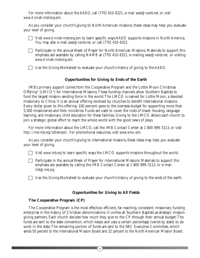For more information about the AAEO, call (770) 410-6321, e-mail *aaeo@namb.net*, or visit *www.AnnieArmstrong.com.*

As you consider your church's giving to North American missions, these ideas may help you evaluate your level of giving.

- - Visit *www.AnnieArmstrong.com* to learn specific ways AAEO supports missions in North America. You may also e-mail *aaeo@namb.net*, or call (770) 410-6321.
	- $\Box$  Participate in the annual Week of Prayer for North American Missions. Materials to support this emphasis are available by calling NAMB at (770) 410-6321, e-mailing *aaeo@namb.net,* or visiting *www.AnnieArmstrong.com.*

Use the Giving Worksheet to evaluate your church's history of giving to the AAEO.

#### **Opportunities for Giving to Ends of the Earth**

IMB's primary support comes from the Cooperative Program and the Lottie Moon Christmas Offering® (LMCO®) for International Missions.These funding channels allow Southern Baptists to fund the largest mission-sending force in the world.The LMCO is named for Lottie Moon, a devoted missionary to China. It is an annual offering received by churches to benefit international missions. Every dollar given to this offering–100 percent–goes to the overseas budget for supporting more than 5,500 missionaries and their ministries. Funds are used to cover the costs of travel, housing, language learning, and missionary child education for these families. Giving to the LMCO allows each church to join a strategic global effort to reach the whole world with the good news of Jesus.

For more information about the LMCO, call the IMB Contact Center at 1 800 999-3113, or visit *http://ime.imb.org/lottiemoon/*. For promotional resources, visit *www.wmu.com.*

As you consider your church's giving to international missions, these ideas may help you evaluate your level of giving.

Visit *www.imb.org* to learn specific ways the LMCO supports missions throughout the world.

 Participate in the annual Week of Prayer for International Missions. Materials to support this emphasis are available by calling the IMB Contact Center at 1 800 999-3113, or e-mail *imb@imb.org.*

 $\Box$  Use the Giving Worksheet to evaluate your church's history of giving to the ends of the earth.

#### **Opportunities for Giving to All Fields**

#### **The Cooperative Program (CP)**

The Cooperative Program is the most effective, efficient, far-reaching, consistent, missionary funding enterprise in the history of Christian denominations. It unifies all Southern Baptists as strategic missiongiving partners. Each church decides how much they give to the CP through their annual budget.The funds are sent to the state convention, which keeps and uses a certain percentage (varies by state) to do work in the state.The remaining portion of funds are sent to the SBC Executive Committee, which sends 50 percent to the International Mission Board and 22 percent to the North American Mission Board.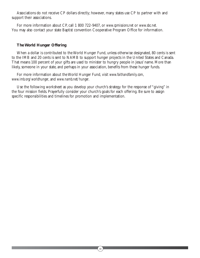Associations do not receive CP dollars directly; however, many states use CP to partner with and support their associations.

For more information about CP, call 1 800 722-9407, or *www.cpmissions.net* or *www.sbc.net.* You may also contact your state Baptist convention Cooperative Program Office for information.

#### **The World Hunger Offering**

When a dollar is contributed to the World Hunger Fund, unless otherwise designated, 80 cents is sent to the IMB and 20 cents is sent to NAMB to support hunger projects in the United States and Canada. That means 100 percent of your gifts are used to minister to hungry people in Jesus' name. More than likely, someone in your state, and perhaps in your association, benefits from these hunger funds.

For more information about the World Hunger Fund, visit *www.faithandfamily.com*, *www.imb.org/worldhunger*, and *www.namb.net/hunger*.

Use the following worksheet as you develop your church's strategy for the response of "giving" in the four mission fields. Prayerfully consider your church's goals for each offering. Be sure to assign specific responsibilities and timelines for promotion and implementation.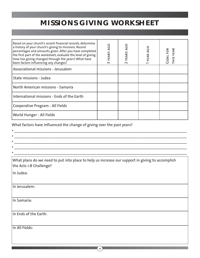## **MISSIONS GIVING WORKSHEET**

| Based on your church's recent financial records, determine<br>a history of your church's giving to missions. Record<br>percentages and amounts given. After you have completed<br>the first part of the worksheet, evaluate the level of giving.<br>How has giving changed through the years? What have<br>been factors influencing any changes? | <b>AGO</b><br>YEARS<br>$\sim$ | <b>AGO</b><br>YEARS<br>$\sim$ | <b>ODA</b><br>YEAR | <b>THIS YEAR</b><br><b>GOALFOR</b> |
|--------------------------------------------------------------------------------------------------------------------------------------------------------------------------------------------------------------------------------------------------------------------------------------------------------------------------------------------------|-------------------------------|-------------------------------|--------------------|------------------------------------|
| Associational missions - Jerusalem                                                                                                                                                                                                                                                                                                               |                               |                               |                    |                                    |
| l State missions - Judea                                                                                                                                                                                                                                                                                                                         |                               |                               |                    |                                    |
| North American missions - Samaria                                                                                                                                                                                                                                                                                                                |                               |                               |                    |                                    |
| International missions - Ends of the Earth                                                                                                                                                                                                                                                                                                       |                               |                               |                    |                                    |
| Cooperative Program - All Fields                                                                                                                                                                                                                                                                                                                 |                               |                               |                    |                                    |
| <b>World Hunger - All Fields</b>                                                                                                                                                                                                                                                                                                                 |                               |                               |                    |                                    |

What factors have influenced the change of giving over the past years?

| <u> 1980 - Johann Barbara, martxa alemaniar argametra (h. 1980).</u>                                                       |
|----------------------------------------------------------------------------------------------------------------------------|
|                                                                                                                            |
| the control of the control of the control of the control of the control of the control of                                  |
|                                                                                                                            |
| What plans do we need to put into place to help us increase our support in giving to accomplish<br>the Acts 1:8 Challenge? |
| In Judea:                                                                                                                  |
|                                                                                                                            |
| In Jerusalem:                                                                                                              |
|                                                                                                                            |
| In Samaria:                                                                                                                |
|                                                                                                                            |
| In Ends of the Earth:                                                                                                      |
|                                                                                                                            |
| In All Fields:                                                                                                             |
|                                                                                                                            |
|                                                                                                                            |
|                                                                                                                            |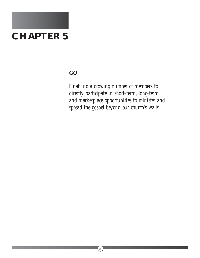

## **GO**

*Enabling a growing number of members to directly participate in short-term, long-term, and marketplace opportunities to minister and spread the gospel beyond our church's walls.*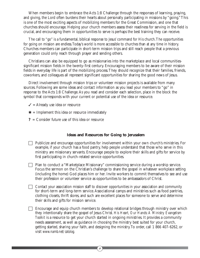When members begin to embrace the Acts 1:8 Challenge through the responses of learning, praying, and giving, the Lord often burdens their hearts about personally participating in missions by "going."This is one of the most exciting aspects of mobilizing members for the Great Commission, and one that churches should encourage. Helping your church members assess their readiness for serving in the field is crucial, and encouraging them in opportunities to serve is perhaps the best training they can receive.

The call to "go" is a fundamental, biblical response to Jesus' command for His church.The opportunities for going on mission are endless.Today's world is more accessible to churches than at any time in history. Churches members can participate in short-term mission trips and still reach people that a previous generation could only reach through prayer and sending others.

Christians can also be equipped to go as missionaries into the marketplace and local communitiessignificant mission fields in the twenty-first century. Encouraging members to be aware of their mission fields in everyday life is part of the mobilizing process.They should recognize that their families, friends, coworkers, and colleagues all represent significant opportunities for sharing the good news of Jesus.

Direct involvement through mission trips or volunteer mission projects is available from many sources. Following are some ideas and contact information as you lead your members to "go" in response to the Acts 1:8 Challenge.As you read and consider each selection, place in the block the symbol that corresponds with your current or potential use of the idea or resource.

- $\checkmark$  = Already use idea or resource
- $\ast$  = Implement this idea or resource immediately
- **?** = Consider future use of this idea or resource

#### **Ideas and Resources for Going to Jerusalem**

- Publicize and encourage opportunities for involvement within your own church's ministries. For example, if your church has a food pantry, help people understand that those who serve in this ministry are missionary servants. Encourage people to explore their skills and gifts for service by first participating in church-related service opportunities.
- Plan to conduct a "Marketplace Missionary" commissioning service during a worship service. Focus the sermon on the Christian's challenge to share the gospel in whatever workplace setting (including the home) God places him or her. Invite workers to commit themselves to see and use their profession or volunteer service as opportunities to be ambassadors of Christ.
- Contact your association mission staff to discover opportunities in your association and community for short-term and long-term service.Associational camps and ministries such as food pantries, clothing closets, thrift stores, and such are excellent places for someone to serve and determine their skills and gifts for mission service.
- $\Box$  Encourage and equip church members to develop relational bridges through ministry over which they intentionally share the gospel of Jesus Christ. *His Heart, Our Hands:A Ministry Evangelism Toolkit* is a resource to get your church started in ongoing ministries. It provides a community needs assessment, as well as guidance in choosing the ministry best suited for your church, getting started, sharing your faith, and designing the ministry.To order, call 1 866 407-6262, or visit *www.namb.net/catolog.*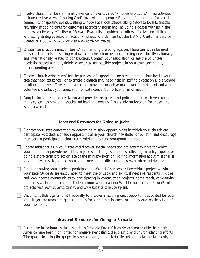$\Box$  Involve church members in ministry evangelism events called "kindness explosions." These activities include creative ways of sharing God's love with lost people. Providing free bottles of water at community or sporting events, washing windows at a local school, taking snacks to local businesses, returning shopping carts for customers at grocery stores, and including a gospel witness in the process can be very effective.A "Servant Evangelism" guidebook offers effective and biblical witnessing strategies based on acts of kindness.To order, contact the NAMB Customer Service Center at 1 866 407-6262, or visit *www.namb.net/catalog.*

 Create "construction mission teams" from among the congregation.These teams can be used for special projects in assisting widows and other churches, and meeting needs locally, nationally, and internationally related to construction. Contact your association, or see the volunteer needs list posted at *http://thebridge.namb.net/* for possible projects in your own community or surrounding area.

 $\Box$  Create "church assist teams" for the purpose of supporting and strengthening churches in your area that need assistance. For example, a church may need help in staffing a Vacation Bible School or other such event.The assist team could provide supportive manpower from student and adult volunteers. Contact your association or state convention office for information.

 $\Box$  Adopt a local fire or police station and provide firefighters and police officers with year-round ministry, such as providing snacks and leading a weekly Bible study on location for those who wish to attend.

#### **Ideas and Resources for Going to Judea**

 $\Box$  Contact your state convention to determine mission opportunities in which your church can participate. Post details of such opportunities in your church newsletter or bulletin, and encourage members to participate in short-term mission projects throughout the state.

 $\Box$  Locate missionaries in your state and discover special needs and projects they have for which your church can provide help.This may be something as simple as collecting ministry supplies or doing a short-term project on site of the ministry location. To find information about missionaries serving in your state, contact your state convention office, or visit *www.namb.net/missionaries.*

□ Consider having your students participate in a World Changers or PowerPlant project within your state. Students are encouraged to meet the physical and spiritual needs of residents in cities and low-income communities by participating in construction projects, home repair, community ministries, and church planting.To learn more about national World Changers and PowerPlant projects, visit *www.studentz.com/wc* and *www.studentz.com/powerplant.*

 Visit *http://thebridge.namb.net* frequently to discover mission project opportunities posted for your state. If you are unable to gather a group for such projects, encourage individual participation of your members.

#### **Ideas and Resources for Going to Samaria**

 $\Box$  Participate in national initiatives such as Strategic Focus Cities. Several major cities in North America have been highlighted for massive evangelistic, discipleship, and church-planting efforts. The goal is to bring the gospel to several heavily populated cities using media, special events,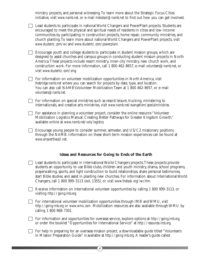ministry projects, and personal witnessing.To learn more about the Strategic Focus Cities initiative, visit *www.namb.net*, or e-mail *mdodson@namb.net* to find out how you can get involved.

□ Lead students to participate in national World Changers and PowerPlant projects. Students are encouraged to meet the physical and spiritual needs of residents in cities and low-income communities by participating in construction projects, home repair, community ministries, and church planting.To learn more about national World Changers and PowerPlant projects, visit *www.studentz.com/wc* and *www.studentz.com/powerplant.*

 $\Box$  Encourage youth and college students to participate in student mission groups, which are designed to assist churches and campus groups in conducting student mission projects in North America.These projects include resort ministry, inner-city ministry, new church work, and construction work. For more information, call 1 800 462-8657, e-mail *volunteers@namb.net*, or visit *www.studentz.com/smg.*

 $\Box$  For information on volunteer mobilization opportunities in North America, visit *thebridge.namb.net* where you can search for projects by date, type, and location. You can also call NAMB's Volunteer Mobilization Team at 1 800 462-8657, or e-mail *volunteers@namb.net.*

 $\Box$  For information on special ministries such as resort/leisure, trucking, ministering to internationals, and creative arts ministries, visit *www.namb.net/evangelism/specialministries.*

 $\Box$  For assistance in planning a volunteer project, consider the online resource "Volunteer" Mobilization Logistics Manual: Creating Better Pathways for Greater Kingdom Growth," available online at *www.namb.net/vols/logistics.*

 $\Box$  Encourage young people to consider summer, semester, and US/C2 missionary positions through the NAMB. Information on these short-term mission experiences can be found at *www.answerthecall.net.*

#### **Ideas and Resources for Going to Ends of the Earth**

 Lead students to participate in International World Changers projects.These projects provide students an opportunity to use Bible clubs, children and youth ministry, drama, school programs, prayerwalking, sports, and light construction to build relationships, share personal testimonies, start Bible studies, and assist in planting new churches. For information about International World Changers, call 1 800 999-3113 (ext. 1355), or visit *www.thetask.org/iwc.htm.*

Receive information on international volunteer opportunities by calling 1 800 999-3113, or visiting *http://going.imb.org.*

 $\Box$  For international volunteer mobilization opportunities through IMB and WMU, visit *http://going.imb.org* or *www.wmu.com.* Mobilization resources are also available through WMU by calling 1 800 968-7301.

 For information and opportunities for overseas service, explore options at *http://going.imb.org,* or order the booklet "Opportunities for International Service" at *http://resources.imb.org.*

For help in preparing for an overseas mission project, a downloadable guide titled "Volunteers" in Mission Preparation Guide" is available at *http://going.imb.org.* A leader's guide called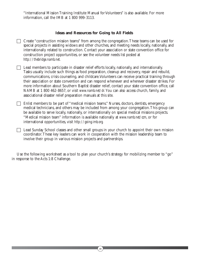"International Mission Training Institute Manual for Volunteers" is also available. For more information, call the IMB at 1 800 999-3113.

#### **Ideas and Resources for Going to All Fields**

 $\Box$  Create "construction mission teams" from among the congregation. These teams can be used for special projects in assisting widows and other churches, and meeting needs locally, nationally, and internationally related to construction. Contact your association or state convention office for construction project opportunities, or see the volunteer needs list posted at *http://thebridge.namb.net.*

 $\Box$  Lead members to participate in disaster relief efforts locally, nationally, and internationally. Tasks usually include such things as food preparation, cleanup and recovery, repair and rebuild, communications, crisis counseling, and childcare.Volunteers can receive practical training through their association or state convention and can respond whenever and wherever disaster strikes. For more information about Southern Baptist disaster relief, contact your state convention office, call NAMB at 1 800 462-8657, or visit *www.namb.net/dr.*You can also access church, family, and associational disaster relief preparation manuals at this site.

 Enlist members to be part of "medical mission teams." Nurses, doctors, dentists, emergency medical technicians, and others may be included from among your congregation.This group can be available to serve locally, nationally, or internationally on special medical missions projects. "Medical mission team" information is available nationally at *www.namb.net/ccm*, or for international opportunities, visit *http://going.imb.org.*

 $\Box$  Lead Sunday School classes and other small groups in your church to appoint their own mission coordinator.These key leaders can work in cooperation with the mission leadership team to involve their group in various mission projects and partnerships.

Use the following worksheet as a tool to plan your church's strategy for mobilizing member to "go" in response to the Acts 1:8 Challenge.

 $\left[39\right]$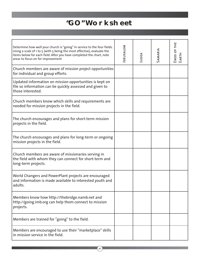## **"GO" Worksheet**

| Determine how well your church is "going" in service to the four fields.<br>Using a scale of 1 to 5 (with 5 being the most effective), evaluate the<br>items below for each field. After you have completed the chart, note<br>areas to focus on for improvement | JERUSALEM | JUDEA | SAMARIA | ш<br>H<br>ENDS OF<br>EARTH |
|------------------------------------------------------------------------------------------------------------------------------------------------------------------------------------------------------------------------------------------------------------------|-----------|-------|---------|----------------------------|
| Church members are aware of mission project opportunities<br>for individual and group efforts.                                                                                                                                                                   |           |       |         |                            |
| Updated information on mission opportunities is kept on<br>file so information can be quickly assessed and given to<br>those interested.                                                                                                                         |           |       |         |                            |
| Church members know which skills and requirements are<br>needed for mission projects in the field.                                                                                                                                                               |           |       |         |                            |
| The church encourages and plans for short-term mission<br>projects in the field.                                                                                                                                                                                 |           |       |         |                            |
| The church encourages and plans for long-term or ongoing<br>mission projects in the field.                                                                                                                                                                       |           |       |         |                            |
| Church members are aware of missionaries serving in<br>the field with whom they can connect for short-term and<br>long-term projects.                                                                                                                            |           |       |         |                            |
| World Changers and PowerPlant projects are encouraged<br>and information is made available to interested youth and<br>adults.                                                                                                                                    |           |       |         |                            |
| Members know how http://thebridge.namb.net and<br>http://going.imb.org can help them connect to mission<br>projects.                                                                                                                                             |           |       |         |                            |
| Members are trained for "going" to the field.                                                                                                                                                                                                                    |           |       |         |                            |
| Members are encouraged to use their "marketplace" skills<br>in mission service in the field.                                                                                                                                                                     |           |       |         |                            |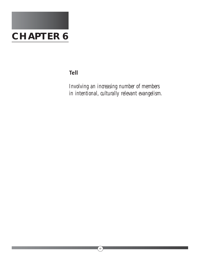

## **Tell**

*Involving an increasing number of members in intentional, culturally relevant evangelism.*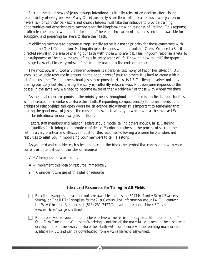Sharing the good news of Jesus through intentional, culturally relevant evangelism efforts is the responsibility of every believer. Many Christians rarely share their faith because they fear rejection or have a lack of confidence. Pastors and church leaders must take the initiative to provide training, opportunities and experiences to members for the kingdom-growing response of "telling."This response is often learned best as we model it for others.There are also excellent resources and tools available for equipping and preparing believers to share their faith.

Mobilizing members to become evangelistically active is a major priority for those concerned with fulfilling the Great Commission. Making disciples demands winning souls for Christ.We need a Spiritdirected revival in the area of sharing our faith with those who are lost.This kingdom response is vital to our assignment of "being witnesses" of Jesus in every arena of life. Knowing how to "tell" the gospel message is essential in every mission field, from Jerusalem to the ends of the earth.

The most powerful tool any believer possesses is a personal testimony of his or her salvation. Our story is a valuable resource in presenting the good news of Jesus to others. It is hard to argue with a satisfied customer.Telling others about Jesus in response to His Acts 1:8 Challenge involves not only sharing our story but also sharing His story in culturally relevant ways. Not everyone responds to the gospel in the same way.We need to become aware of the "worldview" of those with whom we share.

As the local church responds to the ministry needs throughout the four mission fields, opportunities will be created for members to share their faith. Responding compassionately to human needs build bridges of relationships and open doors for an evangelistic witness. It is important to remember that sharing the good news of Jesus is the most compassionate activity in which we can be involved.We must be intentional in our evangelistic efforts.

Pastors, staff members, and mission leaders should model telling others about Christ. Offering opportunities for training can promote confidence. Mentoring others in the process of sharing their faith is a very practical and effective model for this response. Following are some helpful ideas and resources to assist you in mobilizing your members to tell His story.

As you read and consider each selection, place in the block the symbol that corresponds with your current or potential use of the idea or resource.

- $\checkmark$  = Already use idea or resource
- $\textbf{\textit{*}}$  = Implement this idea or resource immediately
- **?** = Consider future use of this idea or resource

#### **Ideas and Resources for Telling in All Fields**

- Excellent evangelistic training tools are available, such as the *FAITH Sunday School Evangelism Strategy* or *The NET: Evangelism for the 21st Century*. For information about *FAITH*, contact LifeWay Christian Resources at (615) 251-2477.To learn more about *The NET*, visit *www.namb.net/evangelism/thenet.*
- $\Box$  Equip believers in your church to be effective witnesses in one day or as little as one hour. The One-Day/One-Hour Witnessing Workshop contains all the materials you need to help believers develop the skills necessary to share their faith with confidence.All the teaching materials are available FREE and can be downloaded from *www.namb.net/onedaywitness*.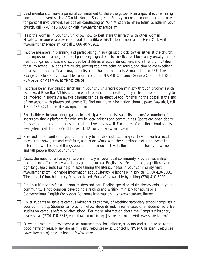| church, call (770) 410-6000, or visit www.namb.net/evangelism.<br>Help the women in your church know how to best share their faith with other women.<br>HeartCall resources are excellent tools to facilitate this. To learn more about HeartCall, visit<br>www.namb.net/evangelism, or call 1 866 407-6262.<br>free food, games, prizes and activities for children, a festive atmosphere, and a friendly invitation<br>for all to attend. Balloons, fire trucks, petting zoo, face painting, music, and clowns are excellent<br>for attracting people. Teams may be enlisted to share gospel tracts. A manual titled SEE: The<br>Evangelistic Block Party is available. To order, call the NAMB Customer Service Center at 1 866<br>407-6262, or visit www.namb.net/catalog.<br>1 800 585-4721, or visit www.upward.com.<br>Enlist athletes in your congregation to participate in "sports evangelism teams." A number of<br>sports can find a platform for ministry in local prisons and communities. Sports can open doors<br>for sharing the gospel in many international venues as well. For more information about sports<br>evangelism, call 1 800 999-3113 (ext. 1512), or visit www.teamisf.com.<br>Seek out opportunities in your community to provide outreach in special events such as road<br>races, auto shows, arts and craft fairs, and so on. Work with the coordinator of such events to<br>determine what kinds of things your church can do that will afford the opportunity to witness<br>and tell people about your church.<br>Assess the need for a literacy missions ministry in your local community. Provide leadership<br>training and offer literacy and language help, such as English as a Second Language, literacy, and<br>sign-language classes. For help in ascertaining the literacy needs in your community, visit<br>www.namb.net/ccm. For more information about Literacy Missions Ministry, call (770) 410-6360.<br>The "Local Church Literacy Missions Needs Survey" is available by calling (770) 410-6000.<br>Find out if services for adult non-readers and non-English-speaking adults already exist in your<br>community. If not, consider developing a reading and writing ministry for adults or a<br>Conversational English Workshop. For more information, visit www.namb.net/literacy.<br>studies on campus before or after school. For more information about the Campus Missionary |                                                                                                                                                                                                                                                                                                                                                                                                                   |
|------------------------------------------------------------------------------------------------------------------------------------------------------------------------------------------------------------------------------------------------------------------------------------------------------------------------------------------------------------------------------------------------------------------------------------------------------------------------------------------------------------------------------------------------------------------------------------------------------------------------------------------------------------------------------------------------------------------------------------------------------------------------------------------------------------------------------------------------------------------------------------------------------------------------------------------------------------------------------------------------------------------------------------------------------------------------------------------------------------------------------------------------------------------------------------------------------------------------------------------------------------------------------------------------------------------------------------------------------------------------------------------------------------------------------------------------------------------------------------------------------------------------------------------------------------------------------------------------------------------------------------------------------------------------------------------------------------------------------------------------------------------------------------------------------------------------------------------------------------------------------------------------------------------------------------------------------------------------------------------------------------------------------------------------------------------------------------------------------------------------------------------------------------------------------------------------------------------------------------------------------------------------------------------------------------------------------------------------------------------------------------------------------------------------------------------|-------------------------------------------------------------------------------------------------------------------------------------------------------------------------------------------------------------------------------------------------------------------------------------------------------------------------------------------------------------------------------------------------------------------|
|                                                                                                                                                                                                                                                                                                                                                                                                                                                                                                                                                                                                                                                                                                                                                                                                                                                                                                                                                                                                                                                                                                                                                                                                                                                                                                                                                                                                                                                                                                                                                                                                                                                                                                                                                                                                                                                                                                                                                                                                                                                                                                                                                                                                                                                                                                                                                                                                                                          | Lead members to make a personal commitment to share the gospel. Plan a special soul-winning<br>commitment event such as "On Mission to Share Jesus" Sunday to create an exciting atmosphere<br>for personal involvement. For tips on conducting an "On Mission to Share Jesus" Sunday in your                                                                                                                     |
|                                                                                                                                                                                                                                                                                                                                                                                                                                                                                                                                                                                                                                                                                                                                                                                                                                                                                                                                                                                                                                                                                                                                                                                                                                                                                                                                                                                                                                                                                                                                                                                                                                                                                                                                                                                                                                                                                                                                                                                                                                                                                                                                                                                                                                                                                                                                                                                                                                          |                                                                                                                                                                                                                                                                                                                                                                                                                   |
|                                                                                                                                                                                                                                                                                                                                                                                                                                                                                                                                                                                                                                                                                                                                                                                                                                                                                                                                                                                                                                                                                                                                                                                                                                                                                                                                                                                                                                                                                                                                                                                                                                                                                                                                                                                                                                                                                                                                                                                                                                                                                                                                                                                                                                                                                                                                                                                                                                          | Involve members in planning and participating in evangelistic block parties either at the church,<br>off campus, or in a neighborhood park. Key ingredients to an effective block party usually include                                                                                                                                                                                                           |
|                                                                                                                                                                                                                                                                                                                                                                                                                                                                                                                                                                                                                                                                                                                                                                                                                                                                                                                                                                                                                                                                                                                                                                                                                                                                                                                                                                                                                                                                                                                                                                                                                                                                                                                                                                                                                                                                                                                                                                                                                                                                                                                                                                                                                                                                                                                                                                                                                                          | Incorporate an evangelistic emphasis in your church's recreation ministry through programs such<br>as Upward Basketball®. This is an excellent resource for recruiting players from the community to<br>be involved in sports. An awards banquet can be an effective tool for sharing the gospel at the end<br>of the season with players and parents. To find out more information about Upward Basketball, call |
|                                                                                                                                                                                                                                                                                                                                                                                                                                                                                                                                                                                                                                                                                                                                                                                                                                                                                                                                                                                                                                                                                                                                                                                                                                                                                                                                                                                                                                                                                                                                                                                                                                                                                                                                                                                                                                                                                                                                                                                                                                                                                                                                                                                                                                                                                                                                                                                                                                          |                                                                                                                                                                                                                                                                                                                                                                                                                   |
|                                                                                                                                                                                                                                                                                                                                                                                                                                                                                                                                                                                                                                                                                                                                                                                                                                                                                                                                                                                                                                                                                                                                                                                                                                                                                                                                                                                                                                                                                                                                                                                                                                                                                                                                                                                                                                                                                                                                                                                                                                                                                                                                                                                                                                                                                                                                                                                                                                          |                                                                                                                                                                                                                                                                                                                                                                                                                   |
|                                                                                                                                                                                                                                                                                                                                                                                                                                                                                                                                                                                                                                                                                                                                                                                                                                                                                                                                                                                                                                                                                                                                                                                                                                                                                                                                                                                                                                                                                                                                                                                                                                                                                                                                                                                                                                                                                                                                                                                                                                                                                                                                                                                                                                                                                                                                                                                                                                          |                                                                                                                                                                                                                                                                                                                                                                                                                   |
|                                                                                                                                                                                                                                                                                                                                                                                                                                                                                                                                                                                                                                                                                                                                                                                                                                                                                                                                                                                                                                                                                                                                                                                                                                                                                                                                                                                                                                                                                                                                                                                                                                                                                                                                                                                                                                                                                                                                                                                                                                                                                                                                                                                                                                                                                                                                                                                                                                          |                                                                                                                                                                                                                                                                                                                                                                                                                   |
|                                                                                                                                                                                                                                                                                                                                                                                                                                                                                                                                                                                                                                                                                                                                                                                                                                                                                                                                                                                                                                                                                                                                                                                                                                                                                                                                                                                                                                                                                                                                                                                                                                                                                                                                                                                                                                                                                                                                                                                                                                                                                                                                                                                                                                                                                                                                                                                                                                          | Enlist students to serve as campus missionaries as a way of reaching secondary school campuses in<br>your community. Students can pray for fellow students and, in some cases, offer student-led Bible<br>strategy, call (770) 410-6345, e-mail campusmissionary@studentz.com, or visit www.studentz.com/cm.                                                                                                      |
| Develop drama ministry teams as an outreach tool for children, students, and adults to share the<br>good news of Jesus. Many drama ministry resources exist. Contact LifeWay Christian Resources<br>(www.lifeway.com) or your local LifeWay store.                                                                                                                                                                                                                                                                                                                                                                                                                                                                                                                                                                                                                                                                                                                                                                                                                                                                                                                                                                                                                                                                                                                                                                                                                                                                                                                                                                                                                                                                                                                                                                                                                                                                                                                                                                                                                                                                                                                                                                                                                                                                                                                                                                                       |                                                                                                                                                                                                                                                                                                                                                                                                                   |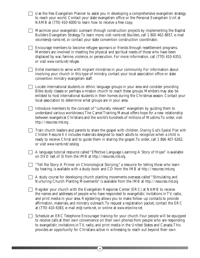| Use the free Evangelism Planner to assist you in developing a comprehensive evangelism strategy<br>to reach your world. Contact your state evangelism office or the Personal Evangelism Unit at<br>NAMB at (770) 410-6000 to learn how to receive a free copy.                                                                                                                                                                                                   |
|------------------------------------------------------------------------------------------------------------------------------------------------------------------------------------------------------------------------------------------------------------------------------------------------------------------------------------------------------------------------------------------------------------------------------------------------------------------|
| Maximize your evangelistic outreach through construction projects by implementing the Baptist<br>Builders Evangelism Strategy. To learn more, visit namb.net/bbuilders, call 1 800 462-8657, e-mail<br>volunteers@namb.net, or contact your state convention construction coordinator.                                                                                                                                                                           |
| Encourage members to become refugee sponsors or friends through resettlement programs.<br>Members are involved in meeting the physical and spiritual needs of those who have been<br>displaced by war, famine, violence, or persecution. For more information, call (770) 410-6353,<br>or visit www.namb.net/refugee.                                                                                                                                            |
| Enlist members to serve with migrant ministries in your community. For information about<br>involving your church in this type of ministry, contact your local association office or state<br>convention ministry evangelism staff.                                                                                                                                                                                                                              |
| Locate international students or ethnic language groups in your area and consider providing<br>Bible study classes or perhaps a mission church to reach these groups. Members may also be<br>enlisted to host international students in their homes during the Christmas season. Contact your<br>local association to determine what groups are in your area.                                                                                                    |
| Introduce members to the concept of "culturally relevant" evangelism by guiding them to<br>understand various worldviews. The Camel Training Manual offers hope for a new relationship<br>between evangelical Christians and the world's hundreds of millions of Muslims. To order, visit<br>http://resources.imb.org.                                                                                                                                           |
| Train church leaders and parents to share the gospel with children. Sharing God's Special Plan with<br>Children Resource Kit includes materials designed to teach adults to recognize when a child is<br>ready to receive Christ and to guide them in sharing the gospel. To order, call 1 866 407-6262,<br>or visit www.namb.net/catalog.                                                                                                                       |
| A language tutorial resource called "Effective Language Learning: A Story of Hope" is available<br>on DVD (set of 3) from the IMB at http://resources.imb.org.                                                                                                                                                                                                                                                                                                   |
| "Tell the Story: A Primer on Chronological Storying," a resource for telling those who learn<br>by hearing, is available with a study book and CD from the IMB at $http://resources.inb.org.$                                                                                                                                                                                                                                                                    |
| A study course for developing church planting movements overseas called "Stimulating and<br>Nurturing Church Planting Movements" is available from the IMB at http://resources.imb.org.                                                                                                                                                                                                                                                                          |
| Register your church with the Evangelism Response Center (ERC) at NAMB to receive<br>the names and addresses of people who have responded to evangelistic invitations in TV, radio,<br>and print media in your area. Registering allows you to make follow-up contacts to provide<br>affirmation, materials, and ministry outreach. To request a registration packet, contact the ERC<br>at (770) 410-6383, e-mail erc@namb.net, or online at www.erconline.net. |
| Schedule an ERC Telephone Encourager training for your church. Your people will be equipped<br>to receive calls at their own convenience on their own phones from people who are responding<br>to evangelistic invitations in TV, radio, and print media in the United States and Canada. This<br>provides an opportunity for Christians active in witnessing to reach out beyond their own                                                                      |

 $\begin{array}{c}\n\boxed{44}\n\end{array}$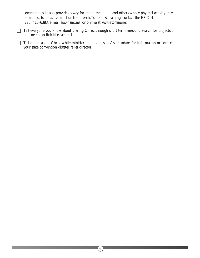communities. It also provides a way for the homebound, and others whose physical activity may be limited, to be active in church outreach.To request training, contact the ERC at (770) 410-6383, e-mail *erc@namb.net*, or online at *www.erconline.net.*

Tell everyone you know about sharing Christ through short term missions. Search for projects or post needs on *thebridge.namb.net*.

Tell others about Christ while ministering in a disaster. Visit *namb.net* for information or contact your state convention disaster relief director.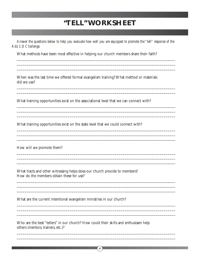## "TELL" WORKSHEET

Answer the questions below to help you evaluate how well you are equipped to promote the "tell" response of the Acts 1:8 Challenge.

What methods have been most effective in helping our church members share their faith?

When was the last time we offered formal evangelism training? What method or materials did we use?

What training opportunities exist on the associational level that we can connect with?

What training opportunities exist on the state level that we could connect with?

How will we promote them?

What tracts and other witnessing helps does our church provide to members? How do the members obtain these for use?

What are the current intentional evangelism ministries in our church?

Who are the best "tellers" in our church? How could their skills and enthusiasm help others (mentors, trainers, etc.)?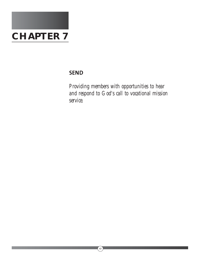

## **SEND**

*Providing members with opportunities to hear and respond to God's call to vocational mission service.*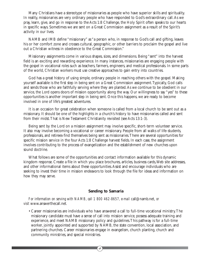Many Christians have a stereotype of missionaries as people who have superior skills and spirituality. In reality, missionaries are very ordinary people who have responded to God's extraordinary call.As we pray, learn, give, and go in response to the Acts 1:8 Challenge, the Holy Spirit often speaks to our hearts in specific ways. Sometimes we are sent on a Great Commission assignment as a result of the Spirit's activity in our lives.

NAMB and IMB define "missionary" as "a person who, in response to God's call and gifting, leaves his or her comfort zone and crosses cultural, geographic, or other barriers to proclaim the gospel and live out a Christian witness in obedience to the Great Commission."

Missionary assignments come in various shapes, sizes, and dimensions. Being "sent" into the harvest field is an exciting and rewarding experience. In many instances, missionaries are engaging people with the gospel in vocational roles such as teachers, farmers, engineers, and medical professionals. In some parts of the world, Christian workers must use creative approaches to gain entry into countries.

God has a great history of using simple, ordinary people in reaching others with the gospel. Making yourself available is the first step in being sent on a Great Commission assignment.Typically, God calls and sends those who are faithfully serving where they are planted.As we continue to be obedient in our service, the Lord opens doors of mission opportunity along the way. Our willingness to say "yes" to these opportunities is another important step in being sent. Once this happens, we are ready to become involved in one of life's greatest adventures.

It is an occasion for great celebration when someone is called from a local church to be sent out as a missionary. It should be one of the highlights in a church's history to have missionaries called and sent from their midst.That is New Testament Christianity revisited (see Acts 13:1-3).

Being sent by the Lord on a mission assignment may involve specific, short-term volunteer service. It also may involve becoming a vocational or career missionary. People from all walks of life-students, professionals, and retirees-find themselves being sent as missionaries.There are several opportunities for specific mission service in the four Acts 1:8 Challenge harvest fields. In each case, the assignment involves contributing to the process of evangelization and the establishment of new churches upon sound doctrine.

What follows are some of the opportunities and contact information available for this dynamic kingdom response. Create a file in which you place brochures, articles, business cards, Web site addresses, and other informational items about these opportunities.Assist and encourage individuals who are seeking to invest their time in mission endeavors to look through the file for ideas and information on how they may serve.

#### **Sending to Samaria**

*For information on serving with NAMB, call 1 800 462-8657, e-mail call@namb.net, or visit* www.answerthecall.net*.*

• Career missionaries are individuals who have answered a call to full-time vocational ministry.The missionary candidate must have a sense of call into mission service, possess adequate training and experience, and meet NAMB missionary policy and guidelines.This pathway is for a full-time worker, jointly appointed and supported by NAMB, the state convention, local association, and partnering churches. Career missionaries engage in evangelism, church planting, church and community ministries, and special ministries.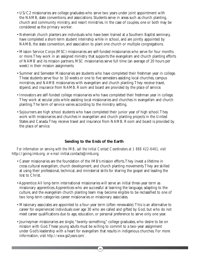- US/C2 missionaries are college graduates who serve two years under joint appointment with the NAMB, state conventions, and associations. Students serve in areas such as church planting, church and community ministry, and resort ministries. In the case of couples, one or both may be considered as the primary worker.
- Nehemiah church planters are individuals who have been trained at a Southern Baptist seminary, have completed a short-term student internship while in school, and are jointly appointed by NAMB, the state convention, and association to plant one church or multiple congregations.
- Mission Service Corps (MSC) missionaries are self-funded missionaries who serve for four months or more.They work in an assigned ministry that supports the evangelism and church planting efforts of NAMB and its mission partners. MSC missionaries serve full time (an average of 20 hours per week) in their mission assignments.
- Summer and Semester Missionaries are students who have completed their freshman year in college. These students serve four to 10 weeks or one to five semesters assisting local churches, campus ministries, and NAMB missionaries with evangelism and church planting.They receive travel, stipend, and insurance from NAMB. Room and board are provided by the place of service.
- Innovators are self-funded college missionaries who have completed their freshman year in college. They work at secular jobs while assisting local missionaries and churches in evangelism and church planting.The term of service varies according to the ministry setting.
- Sojourners are high school students who have completed their junior year of high school.They work with missionaries and churches in evangelism and church planting projects in the United States and Canada.They receive travel and insurance from NAMB. Room and board is provided by the place of service.

#### **Sending to the Ends of the Earth**

*For information on serving with the IMB, call the Initial Contact Coordinators at 1 888 422-6461, visit* http://going.imb.org, *or e-mail* initial.contacts@imb.org.

- Career missionaries are the foundation of the IMB's mission efforts.They invest a lifetime in cross-cultural evangelism, church development, and church planting movements.They are skilled at using their professional, technical, and ministerial skills for sharing the gospel and leading the lost to Christ.
- Apprentice:All long-term international missionaries will serve an initial three-year term as missionary apprentices.Apprentices who are successful at learning the language, adapting to the culture, and the evangelism church planting team may become eligible to be reclassified to one of two long-term categories: career missionaries or missionary associates.
- Missionary associates are appointed to a four-year term (often renewable).This is an alternative to career for experienced individuals over age 30 who are called and gifted by God, but who do not meet career qualifications due to age, education, or personal preference to serve only one year.
- Journeyman missionaries are single, "twenty-something," college graduates, who desire to be on mission with God.These young adults must be willing to commit to a two-year assignment under God's leadership with a heart for evangelism that results in indigenous churches. For more information, visit *http://www.go2years.com/.*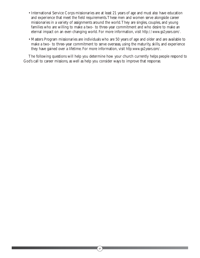- International Service Corps missionaries are at least 21 years of age and must also have education and experience that meet the field requirements.These men and women serve alongside career missionaries in a variety of assignments around the world.They are singles, couples, and young families who are willing to make a two- to three-year commitment and who desire to make an eternal impact on an ever-changing world. For more information, visit *http://www.go2years.com/.*
- Masters Program missionaries are individuals who are 50 years of age and older and are available to make a two- to three-year commitment to serve overseas, using the maturity, skills, and experience they have gained over a lifetime. For more information, visit *http:www.go2years.com/.*

The following questions will help you determine how your church currently helps people respond to God's call to career missions, as well as help you consider ways to improve that response.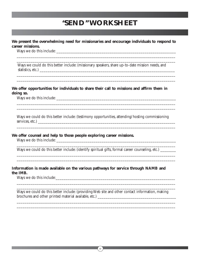## **"SEND" WORKSHEET**

#### **We present the overwhelming need for missionaries and encourage individuals to respond to career missions.**

\_\_\_\_\_\_\_\_\_\_\_\_\_\_\_\_\_\_\_\_\_\_\_\_\_\_\_\_\_\_\_\_\_\_\_\_\_\_\_\_\_\_\_\_\_\_\_\_\_\_\_\_\_\_\_\_\_\_\_\_\_\_\_\_\_\_\_\_\_\_\_\_\_\_\_\_\_\_\_\_\_ \_\_\_\_\_\_\_\_\_\_\_\_\_\_\_\_\_\_\_\_\_\_\_\_\_\_\_\_\_\_\_\_\_\_\_\_\_\_\_\_\_\_\_\_\_\_\_\_\_\_\_\_\_\_\_\_\_\_\_\_\_\_\_\_\_\_\_\_\_\_\_\_\_\_\_\_\_\_\_\_\_

\_\_\_\_\_\_\_\_\_\_\_\_\_\_\_\_\_\_\_\_\_\_\_\_\_\_\_\_\_\_\_\_\_\_\_\_\_\_\_\_\_\_\_\_\_\_\_\_\_\_\_\_\_\_\_\_\_\_\_\_\_\_\_\_\_\_\_\_\_\_\_\_\_\_\_\_\_\_\_\_\_ \_\_\_\_\_\_\_\_\_\_\_\_\_\_\_\_\_\_\_\_\_\_\_\_\_\_\_\_\_\_\_\_\_\_\_\_\_\_\_\_\_\_\_\_\_\_\_\_\_\_\_\_\_\_\_\_\_\_\_\_\_\_\_\_\_\_\_\_\_\_\_\_\_\_\_\_\_\_\_\_\_

\_\_\_\_\_\_\_\_\_\_\_\_\_\_\_\_\_\_\_\_\_\_\_\_\_\_\_\_\_\_\_\_\_\_\_\_\_\_\_\_\_\_\_\_\_\_\_\_\_\_\_\_\_\_\_\_\_\_\_\_\_\_\_\_\_\_\_\_\_\_\_\_\_\_\_\_\_\_\_\_\_ \_\_\_\_\_\_\_\_\_\_\_\_\_\_\_\_\_\_\_\_\_\_\_\_\_\_\_\_\_\_\_\_\_\_\_\_\_\_\_\_\_\_\_\_\_\_\_\_\_\_\_\_\_\_\_\_\_\_\_\_\_\_\_\_\_\_\_\_\_\_\_\_\_\_\_\_\_\_\_\_\_

\_\_\_\_\_\_\_\_\_\_\_\_\_\_\_\_\_\_\_\_\_\_\_\_\_\_\_\_\_\_\_\_\_\_\_\_\_\_\_\_\_\_\_\_\_\_\_\_\_\_\_\_\_\_\_\_\_\_\_\_\_\_\_\_\_\_\_\_\_\_\_\_\_\_\_\_\_\_\_\_\_

\_\_\_\_\_\_\_\_\_\_\_\_\_\_\_\_\_\_\_\_\_\_\_\_\_\_\_\_\_\_\_\_\_\_\_\_\_\_\_\_\_\_\_\_\_\_\_\_\_\_\_\_\_\_\_\_\_\_\_\_\_\_\_\_\_\_\_\_\_\_\_\_\_\_\_\_\_\_\_\_\_

\_\_\_\_\_\_\_\_\_\_\_\_\_\_\_\_\_\_\_\_\_\_\_\_\_\_\_\_\_\_\_\_\_\_\_\_\_\_\_\_\_\_\_\_\_\_\_\_\_\_\_\_\_\_\_\_\_\_\_\_\_\_\_\_\_\_\_\_\_\_\_\_\_\_\_\_\_\_\_\_\_ \_\_\_\_\_\_\_\_\_\_\_\_\_\_\_\_\_\_\_\_\_\_\_\_\_\_\_\_\_\_\_\_\_\_\_\_\_\_\_\_\_\_\_\_\_\_\_\_\_\_\_\_\_\_\_\_\_\_\_\_\_\_\_\_\_\_\_\_\_\_\_\_\_\_\_\_\_\_\_\_\_

Ways we do this include:

Ways we could do this better include: (missionary speakers, share up-to-date mission needs, and statistics, etc.) \_\_\_\_\_\_\_\_\_\_\_\_\_\_\_\_\_\_\_\_\_\_\_\_\_\_\_\_\_\_\_\_\_\_\_\_\_\_\_\_\_\_\_\_\_\_\_\_\_\_\_\_\_\_\_\_\_\_\_\_\_\_\_\_\_\_\_\_\_

#### **We offer opportunities for individuals to share their call to missions and affirm them in doing so.**

Ways we do this include:

Ways we could do this better include: (testimony opportunities, attending/hosting commissioning services, etc.) \_\_\_\_\_\_\_\_\_\_\_\_\_\_\_\_\_\_\_\_\_\_\_\_\_\_\_\_\_\_\_\_\_\_\_\_\_\_\_\_\_\_\_\_\_\_\_\_\_\_\_\_\_\_\_\_\_\_\_\_\_\_\_\_\_\_\_\_\_\_

#### **We offer counsel and help to those people exploring career missions.**

Ways we do this include: \_\_\_\_\_\_\_\_\_\_\_\_\_\_\_\_\_\_\_\_\_\_\_\_\_\_\_\_\_\_\_\_\_\_\_\_\_\_\_\_\_\_\_\_\_\_\_\_\_\_\_\_\_\_\_\_\_\_\_\_\_

Ways we could do this better include: (identify spiritual gifts, formal career counseling, etc.)

#### **Information is made available on the various pathways for service through NAMB and the IMB.**

Ways we do this include:

Ways we could do this better include: (providing Web site and other contact information, making brochures and other printed material available, etc.) \_\_\_\_\_\_\_\_\_\_\_\_\_\_\_\_\_\_\_\_\_\_\_\_\_\_\_\_\_\_\_\_\_\_\_\_\_\_\_\_

\_\_\_\_\_\_\_\_\_\_\_\_\_\_\_\_\_\_\_\_\_\_\_\_\_\_\_\_\_\_\_\_\_\_\_\_\_\_\_\_\_\_\_\_\_\_\_\_\_\_\_\_\_\_\_\_\_\_\_\_\_\_\_\_\_\_\_\_\_\_\_\_\_\_\_\_\_\_\_\_\_ \_\_\_\_\_\_\_\_\_\_\_\_\_\_\_\_\_\_\_\_\_\_\_\_\_\_\_\_\_\_\_\_\_\_\_\_\_\_\_\_\_\_\_\_\_\_\_\_\_\_\_\_\_\_\_\_\_\_\_\_\_\_\_\_\_\_\_\_\_\_\_\_\_\_\_\_\_\_\_\_\_

\_\_\_\_\_\_\_\_\_\_\_\_\_\_\_\_\_\_\_\_\_\_\_\_\_\_\_\_\_\_\_\_\_\_\_\_\_\_\_\_\_\_\_\_\_\_\_\_\_\_\_\_\_\_\_\_\_\_\_\_\_\_\_\_\_\_\_\_\_\_\_\_\_\_\_\_\_\_\_\_\_ \_\_\_\_\_\_\_\_\_\_\_\_\_\_\_\_\_\_\_\_\_\_\_\_\_\_\_\_\_\_\_\_\_\_\_\_\_\_\_\_\_\_\_\_\_\_\_\_\_\_\_\_\_\_\_\_\_\_\_\_\_\_\_\_\_\_\_\_\_\_\_\_\_\_\_\_\_\_\_\_\_

 $\begin{bmatrix} 51 \end{bmatrix}$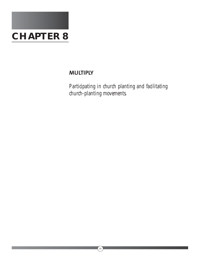

## **MULTIPLY**

*Participating in church planting and facilitating church-planting movements.*

 $\circled{52}$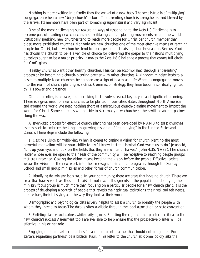Nothing is more exciting in a family than the arrival of a new baby. The same is true in a "multiplying" congregation when a new "baby church" is born.The parenting church is strengthened and blessed by the arrival. Its members have been part of something supernatural and very significant.

One of the most challenging but rewarding ways of responding to the Acts 1:8 Challenge is to become part of planting new churches and facilitating church-planting movements around the world. Statistically speaking, new churches tend to reach more people for Christ per church member than older, more established churches. Not only are new churches one of the most effective means of reaching people for Christ, but new churches tend to reach people that existing churches cannot. Because God has chosen the church to be His vehicle of choice for delivering the gospel to the nations, multiplying ourselves ought to be a major priority. It makes the Acts 1:8 Challenge a process that comes full circle for God's glory.

Healthy churches plant other healthy churches.This can be accomplished through a "parenting" process or by becoming a church-planting partner with other churches.A kingdom mindset leads to a desire to multiply. New churches being born are a sign of health and life.When a congregation moves into the realm of church planting as a Great Commission strategy, they have become spiritually ignited by His power and presence.

Church planting is a strategic undertaking that involves several key players and significant planning. There is a great need for new churches to be planted in our cities, states, throughout North America, and around the world.We need nothing short of a miraculous church-planting movement to impact the world for Christ. Some churches will be able to start many new churches; others will be able to partner along the way.

A seven-step process for effective church planting has been developed by NAMB to assist churches as they seek to embrace the kingdom-growing response of "multiplying" in the United States and Canada.These steps include the following.

*1) Casting a vision for multiplying.* When it comes to casting a vision for church planting-the most powerful motivation will be your ability to say,"I know that this is what God wants us to do." Jesus said, "Lift up your eyes and look on the fields, that they are white for harvest" (John 4:35, NASB).The church leader whose eyes are open to the needs of the community will be receptive to reaching people groups that are unreached. Casting the vision means keeping the vision before the people. Effective leaders weave the vision for the new work into their messages, their church programs, through the Sunday School and small group ministries, and other forms of church communication.

*2) Identifying the ministry focus group.* In your community, there are areas that have no church.There are areas that have several yet those that exist do not reach all segments of the population. Identifying the ministry focus group is much more than focusing on a particular people for a new church plant. It is the process of developing a portrait of people that reveals their spiritual aspirations, their real and felt needs, their values, their lifestyles, and the way they look at their world.

Demographic and psychological data is very helpful to assist a church to identify the people with whom they intend to focus.The data is often available through the local association or state convention.

*3) Enlisting planters and partners while clarifying roles.* Enlisting the right church planter is critical to the new church's success.Assessment tools are available to help ensure that the prospective planter will be effective in his or her role.

Engaging multiple partner churches for a church plant is a task that should not be ignored. For starters, requesting partnerships is biblical. Paul, in his letter to the church at Rome, boldly asks the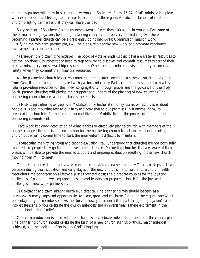church to partner with him in starting a new work in Spain (see Rom. 15:24). Paul's ministry is replete with examples of establishing partnerships to accomplish these goals. An obvious benefit of multiple church planting partners is that they can share the load.

Sixty percent of Southern Baptist churches average fewer than 100 adults in worship. For some of these smaller congregations, becoming a planting church could be very intimidating. For these, becoming a partner church can be a great entry point into Great Commission mission work. Clarifying the role each partner plays will help ensure a healthy new work and promote continued involvement as a partner church.

*4) Discovering and committing resources.* The book of Acts reminds us that it has always taken resources to get the job done. Churches today need to step forward to discover and commit resources as part of their biblical missionary and stewardship responsibilities.When people embrace a vision, it only becomes a reality when they commit their financial resources.

As the partnering church leader, you must help the planter communicate the vision. If the vision is from God, it should be communicated with passion and clarity. Partnering churches should play a key role in providing resources for their new congregations.Through prayer and the guidance of the Holy Spirit, partner churches will pledge their support and undergird the planting of new churches.The partnering church focuses and coordinates the efforts.

*5) Mobilizing partnering congregations.* Mobilization-whether it's money, teams, or resources-is about people. It is about putting feet to our faith and provision to our promises. In Romans 15:24, Paul prepared the church in Rome for mission mobilization. Mobilization is the process of fulfilling the partnering commitment.

Hard work is a good description of what it takes to effectively plant a church with members of the partner congregations. It is not uncommon for the partnering church to get excited about planting a church but when it comes time to start, the momentum is difficult to maintain.

*6) Supporting the birthing process and ongoing evaluation.* Paul understood that churches are not born fully mature. Like people, they go through developmental phases. Partnering churches that are aware of these phases will be able to provide the needed support and ongoing evaluation resulting in the new church moving from milk to meat.

The partnering relationship is always more than providing a name or money.There are steps that can be taken during the incubation and early stages of the new church's life to help ensure church health throughout the congregation's lifecycle. Just as prenatal classes help prepare couples for the joys and challenges of parenting, well-equipped pastors and leaders can prepare a church for the joys and challenges of new work partnership.

*7) Celebrating and communicating church multiplication.* The partnering role should be seen as a journeywith many stops and opportunities to learn, grow, and celebrate. Consider these questions:What percentage of your members knows the story of how your church (the partnering congregation) came into existence? Do you celebrate the church mileposts and anniversaries? Is there excitement in the church about being family?

Church reproduction is filled with opportunities to celebrate mileposts in the life of the church plant. The partnering church should celebrate the birth of a new church, its first birthday, major milepost achieved, and the addition of souls into God's kingdom.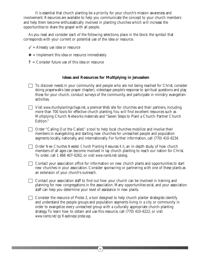It is essential that church planting be a priority for your church's mission awareness and involvement. Resources are available to help you communicate the concept to your church members and help them become enthusiastically involved in planting churches which will increase the opportunities to share the gospel with all people.

As you read and consider each of the following selections, place in the block the symbol that corresponds with your current or potential use of the idea or resource.

- $\checkmark$  = Already use idea or resource
- $\textbf{\textit{*}}$  = Implement this idea or resource immediately
- **?** = Consider future use of this idea or resource

#### **Ideas and Resources for Multiplying in Jerusalem**

- $\Box$  To discover needs in your community and people who are not being reached for Christ, consider doing prayerwalks (see prayer chapter), videotape people's response to spiritual questions and play those for your church, conduct surveys of the community, and participate in ministry evangelism activities.
- Visit *www.churchplantingvillage.net*, a premier Web site for churches and their partners, including more than 700 tools for effective church planting.You will find excellent resources such as Multiplying Church Networks materials and "Seven Steps to Plant a Church: Partner Church Edition."
- □ Order "Calling Out the Called," a tool to help local churches mobilize and involve their members in evangelizing and starting new churches for unreached people and population segments locally, nationally, and internationally. For further information, call (770) 410-6234*.*
- Order *New Churches Needed: Church Planting Resources Kit*, an in-depth study of how church members of all ages can become involved in lay church planting to reach our nation for Christ. To order, call 1 866 407-6262, or visit *www.namb.net/catalog.*
- $\Box$  Contact your association office for information on new church plants and opportunities to start new churches in your association. Consider sponsoring or partnering with one of these plants as an extension of your church's outreach.
- $\Box$  Contact your association staff to find out how your church can be involved in training and planning for new congregations in the association. Many opportunities exist, and your association staff can help you determine your level of assistance in new plants.
- $\Box$  Consider the resource of Probe 2, a tool designed to help church planter strategists identify and understand the people groups and population segments living in a city or community in order to evangelize every unreached group with a culturally appropriate church-planting strategy.To learn how to obtain and use this resource, call (770) 410-6222, or visit *www.namb.net/cp/Readiness/probe.asp.*

 $\left(55\right)$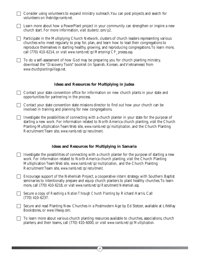Consider using volunteers to expand ministry outreach.You can post projects and search for volunteers on *thebridge.namb.net*.

 Learn more about how a PowerPlant project in your community can strengthen or inspire a new church start. For more information, visit *studentz.com/p2*.

 $\Box$  Participate in the Multiplying Church Network, clusters of church leaders representing various churches who meet regularly to pray for, plan, and learn how to lead their congregations to reproduce themselves in starting healthy, growing, and reproducing congregations.To learn more, call (770) 410-6214, or visit *www.namb.net/cp/Mentoring/CP\_process.asp.*

 $\Box$  To do a self-assessment of how God may be preparing you for church planting ministry, download the "Discovery Tools" booklet (in Spanish, Korean, and Vietnamese) from *www.churchplantingvillage.net*.

#### **Ideas and Resources for Multiplying in Judea**

- Contact your state convention office for information on new church plants in your state and opportunities for partnering in the process.
- Contact your state convention state missions director to find out how your church can be involved in training and planning for new congregations.
- $\Box$  Investigate the possibilities of connecting with a church planter in your state for the purpose of starting a new work. For information related to North America church planting, visit the Church Planting Multiplication Team Web site, *www.namb.net/cp/multiplication*, and the Church Planting Recruitment Team site, *www.namb.net/cp/recruitment.*

#### **Ideas and Resources for Multiplying in Samaria**

- $\Box$  Investigate the possibilities of connecting with a church planter for the purpose of starting a new work. For information related to North America church planting, visit the Church Planting Multiplication Team Web site, *www.namb.net/cp/multiplication,* and the Church Planting Recruitment Team site, *www.namb.net/cp/recruitment.*
- $\Box$  Encourage support of the Nehemiah Project, a cooperative intern strategy with Southern Baptist seminaries to intentionally prepare and equip church planters to plant healthy churches.To learn more, call (770) 410-6218, or visit *www.namb.net/cp/Recruitment/Nehemiah.asp.*

 Secure a copy of *Reaching a Nation Through Church Planting* by Richard Harris. Call (770) 410-6237*.*

 Secure and read Planting New Churches in a Postmodern Age by Ed Stetzer, available at LifeWay Bookstores, or *www.lifeway.com.*

 $\Box$  To learn more about various church planting resources available to churches, associations, church planters, and their teams, call (770) 410-6000, or visit *www.namb.net/cp/Multiplication.*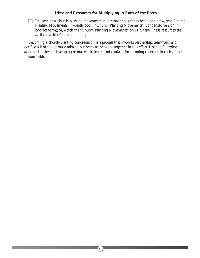#### **Ideas and Resources for Multiplying in Ends of the Earth**

 $\Box$  To learn how church-planting movements in international settings begin and grow, read Church Planting Movements (in-depth book);"Church Planting Movements" (condensed version in booklet form); or, watch the "Church Planting Movements" on VHS tape.These resources are available at *http://resources.imb.org.*

Becoming a church-planting congregation is a process that involves partnership, teamwork, and sacrifice.All of the primary mission partners can network together in this effort. Use the following worksheet to begin developing resources, strategies, and contacts for planning churches in each of the mission fields.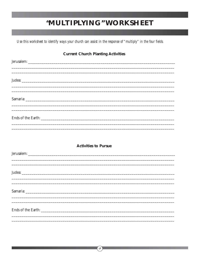## "MULTIPLYING" WORKSHEET

Use this worksheet to identify ways your church can assist in the response of "multiply" in the four fields.

| <b>Current Church Planting Activities</b>                                         |  |  |
|-----------------------------------------------------------------------------------|--|--|
|                                                                                   |  |  |
|                                                                                   |  |  |
|                                                                                   |  |  |
| ,我们也不能在这里的时候,我们也不能在这里的时候,我们也不能会在这里的时候,我们也不能会在这里的时候,我们也不能会在这里的时候,我们也不能会在这里的时候,我们也不 |  |  |
| ,我们也不能会在这里,我们也不能会在这里,我们也不能会在这里,我们也不能会在这里,我们也不能会在这里,我们也不能会在这里,我们也不能会不能会不能会。""我们,我们 |  |  |
|                                                                                   |  |  |
|                                                                                   |  |  |
|                                                                                   |  |  |
| <b>Activities to Pursue</b>                                                       |  |  |
|                                                                                   |  |  |
|                                                                                   |  |  |
|                                                                                   |  |  |
| ,我们也不能会在这里,我们的人们就会在这里,我们也不会在这里,我们也不会在这里,我们也不会在这里,我们也不会在这里,我们也不会在这里,我们也不会在这里,我们也不  |  |  |
|                                                                                   |  |  |
|                                                                                   |  |  |
| Ends of the Earth:                                                                |  |  |
|                                                                                   |  |  |

 $\left(58\right)$